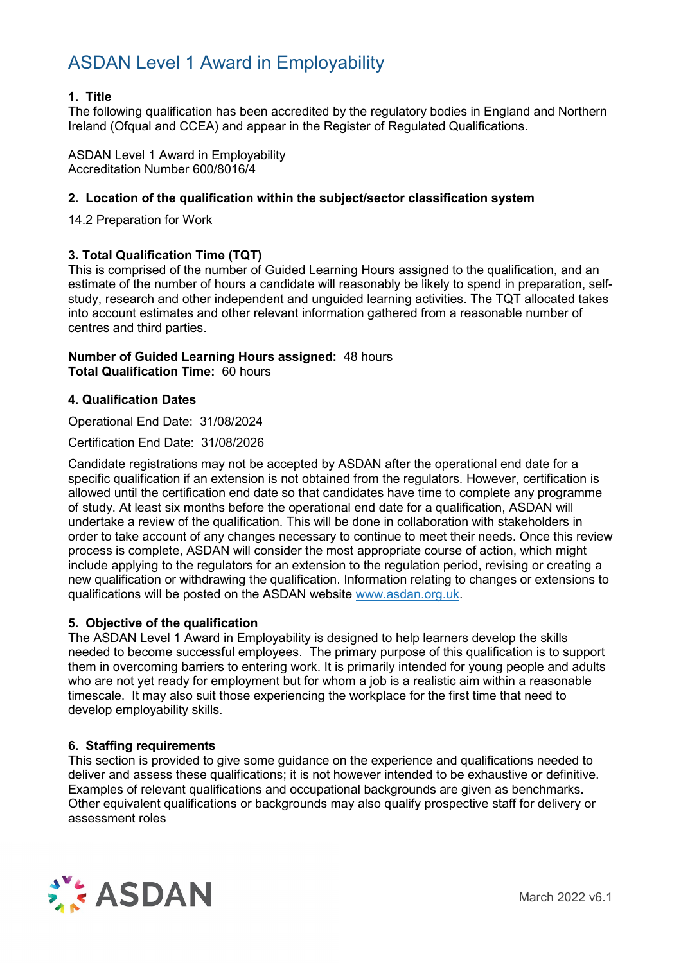#### **1. Title**

The following qualification has been accredited by the regulatory bodies in England and Northern Ireland (Ofqual and CCEA) and appear in the Register of Regulated Qualifications.

ASDAN Level 1 Award in Employability Accreditation Number 600/8016/4

#### **2. Location of the qualification within the subject/sector classification system**

14.2 Preparation for Work

#### **3. Total Qualification Time (TQT)**

This is comprised of the number of Guided Learning Hours assigned to the qualification, and an estimate of the number of hours a candidate will reasonably be likely to spend in preparation, selfstudy, research and other independent and unguided learning activities. The TQT allocated takes into account estimates and other relevant information gathered from a reasonable number of centres and third parties.

#### **Number of Guided Learning Hours assigned:** 48 hours **Total Qualification Time:** 60 hours

#### **4. Qualification Dates**

Operational End Date: 31/08/2024

Certification End Date: 31/08/2026

Candidate registrations may not be accepted by ASDAN after the operational end date for a specific qualification if an extension is not obtained from the regulators. However, certification is allowed until the certification end date so that candidates have time to complete any programme of study. At least six months before the operational end date for a qualification, ASDAN will undertake a review of the qualification. This will be done in collaboration with stakeholders in order to take account of any changes necessary to continue to meet their needs. Once this review process is complete, ASDAN will consider the most appropriate course of action, which might include applying to the regulators for an extension to the regulation period, revising or creating a new qualification or withdrawing the qualification. Information relating to changes or extensions to qualifications will be posted on the ASDAN website [www.asdan.org.uk.](http://www.asdan.org.uk/)

#### **5. Objective of the qualification**

The ASDAN Level 1 Award in Employability is designed to help learners develop the skills needed to become successful employees. The primary purpose of this qualification is to support them in overcoming barriers to entering work. It is primarily intended for young people and adults who are not yet ready for employment but for whom a job is a realistic aim within a reasonable timescale. It may also suit those experiencing the workplace for the first time that need to develop employability skills.

#### **6. Staffing requirements**

This section is provided to give some guidance on the experience and qualifications needed to deliver and assess these qualifications; it is not however intended to be exhaustive or definitive. Examples of relevant qualifications and occupational backgrounds are given as benchmarks. Other equivalent qualifications or backgrounds may also qualify prospective staff for delivery or assessment roles

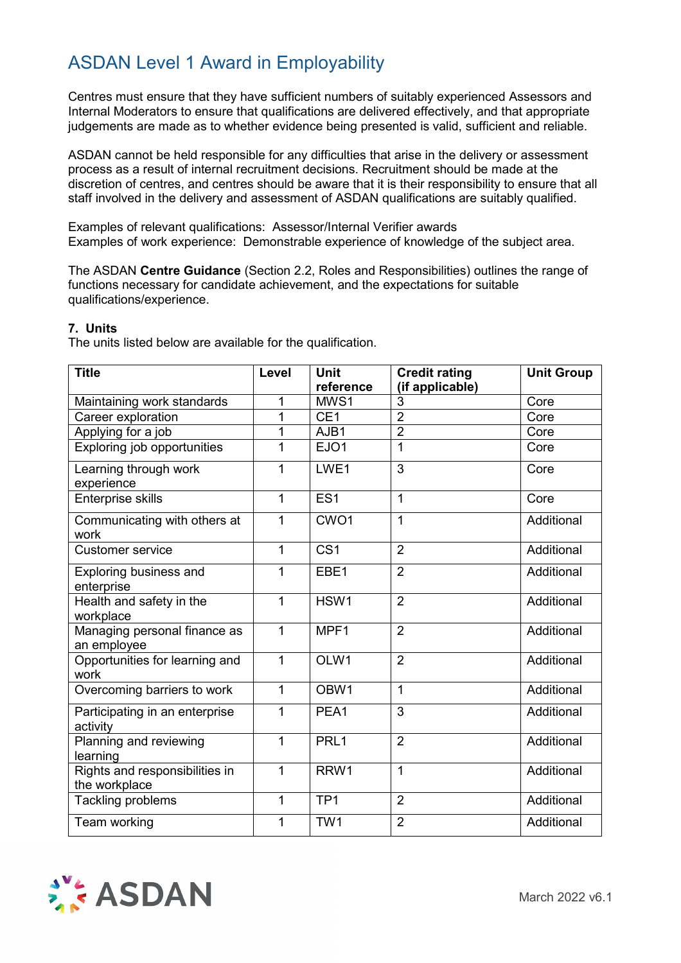Centres must ensure that they have sufficient numbers of suitably experienced Assessors and Internal Moderators to ensure that qualifications are delivered effectively, and that appropriate judgements are made as to whether evidence being presented is valid, sufficient and reliable.

ASDAN cannot be held responsible for any difficulties that arise in the delivery or assessment process as a result of internal recruitment decisions. Recruitment should be made at the discretion of centres, and centres should be aware that it is their responsibility to ensure that all staff involved in the delivery and assessment of ASDAN qualifications are suitably qualified.

Examples of relevant qualifications: Assessor/Internal Verifier awards Examples of work experience: Demonstrable experience of knowledge of the subject area.

The ASDAN **Centre Guidance** (Section 2.2, Roles and Responsibilities) outlines the range of functions necessary for candidate achievement, and the expectations for suitable qualifications/experience.

#### **7. Units**

The units listed below are available for the qualification.

| <b>Title</b>                                    | Level        | <b>Unit</b>      | <b>Credit rating</b> | <b>Unit Group</b> |
|-------------------------------------------------|--------------|------------------|----------------------|-------------------|
|                                                 |              | reference        | (if applicable)      |                   |
| Maintaining work standards                      |              | MWS1             | 3                    | Core              |
| Career exploration                              | 1            | CE <sub>1</sub>  | $\overline{2}$       | Core              |
| Applying for a job                              | 1            | AJB1             | $\overline{2}$       | Core              |
| Exploring job opportunities                     | 1            | EJO1             | $\mathbf{1}$         | Core              |
| Learning through work<br>experience             | 1            | LWE1             | $\overline{3}$       | Core              |
| Enterprise skills                               | 1            | ES <sub>1</sub>  | 1                    | Core              |
| Communicating with others at<br>work            | 1            | CWO <sub>1</sub> | $\overline{1}$       | Additional        |
| <b>Customer service</b>                         | $\mathbf{1}$ | CS <sub>1</sub>  | $\overline{2}$       | Additional        |
| Exploring business and<br>enterprise            | 1            | EBE1             | $\overline{2}$       | Additional        |
| Health and safety in the<br>workplace           | 1            | HSW1             | $\overline{2}$       | Additional        |
| Managing personal finance as<br>an employee     | 1            | MPF1             | $\overline{2}$       | Additional        |
| Opportunities for learning and<br>work          | 1            | OLW1             | $\overline{2}$       | Additional        |
| Overcoming barriers to work                     | $\mathbf 1$  | OBW <sub>1</sub> | 1                    | Additional        |
| Participating in an enterprise<br>activity      | 1            | PEA1             | 3                    | Additional        |
| Planning and reviewing<br>learning              | 1            | PRL1             | $\overline{2}$       | Additional        |
| Rights and responsibilities in<br>the workplace | 1            | RRW1             | $\overline{1}$       | Additional        |
| <b>Tackling problems</b>                        | 1            | TP <sub>1</sub>  | $\overline{2}$       | Additional        |
| Team working                                    | 1            | TW1              | $\overline{2}$       | Additional        |

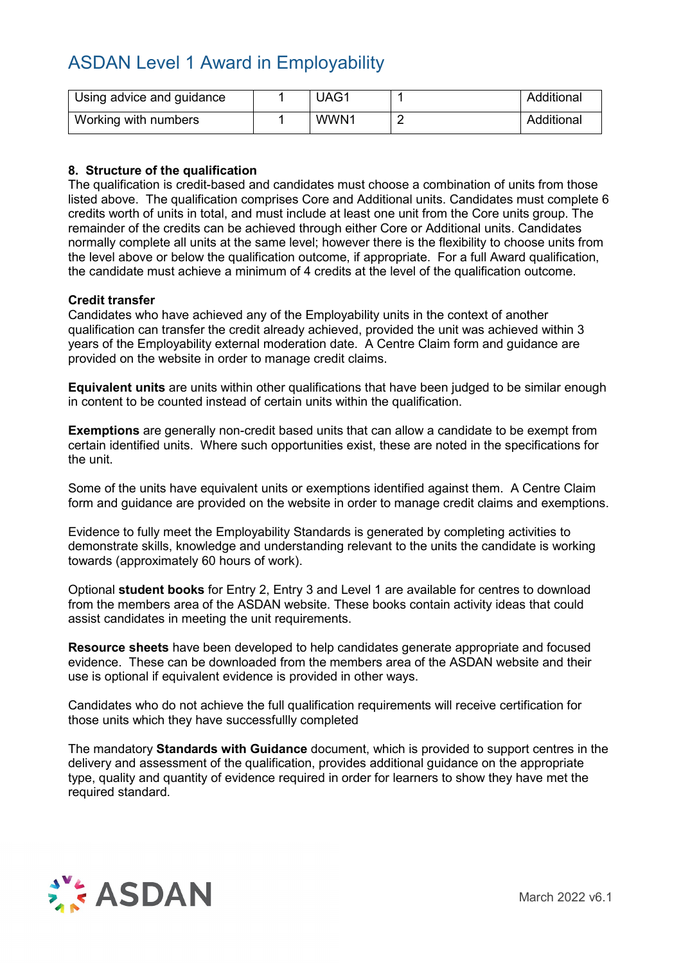| Using advice and guidance | UAG1 | Additional |
|---------------------------|------|------------|
| Working with numbers      | WWN1 | Additional |

#### **8. Structure of the qualification**

The qualification is credit-based and candidates must choose a combination of units from those listed above. The qualification comprises Core and Additional units. Candidates must complete 6 credits worth of units in total, and must include at least one unit from the Core units group. The remainder of the credits can be achieved through either Core or Additional units. Candidates normally complete all units at the same level; however there is the flexibility to choose units from the level above or below the qualification outcome, if appropriate. For a full Award qualification, the candidate must achieve a minimum of 4 credits at the level of the qualification outcome.

#### **Credit transfer**

Candidates who have achieved any of the Employability units in the context of another qualification can transfer the credit already achieved, provided the unit was achieved within 3 years of the Employability external moderation date. A Centre Claim form and guidance are provided on the website in order to manage credit claims.

**Equivalent units** are units within other qualifications that have been judged to be similar enough in content to be counted instead of certain units within the qualification.

**Exemptions** are generally non-credit based units that can allow a candidate to be exempt from certain identified units. Where such opportunities exist, these are noted in the specifications for the unit.

Some of the units have equivalent units or exemptions identified against them. A Centre Claim form and guidance are provided on the website in order to manage credit claims and exemptions.

Evidence to fully meet the Employability Standards is generated by completing activities to demonstrate skills, knowledge and understanding relevant to the units the candidate is working towards (approximately 60 hours of work).

Optional **student books** for Entry 2, Entry 3 and Level 1 are available for centres to download from the members area of the ASDAN website. These books contain activity ideas that could assist candidates in meeting the unit requirements.

**Resource sheets** have been developed to help candidates generate appropriate and focused evidence. These can be downloaded from the members area of the ASDAN website and their use is optional if equivalent evidence is provided in other ways.

Candidates who do not achieve the full qualification requirements will receive certification for those units which they have successfullly completed

The mandatory **Standards with Guidance** document, which is provided to support centres in the delivery and assessment of the qualification, provides additional guidance on the appropriate type, quality and quantity of evidence required in order for learners to show they have met the required standard.

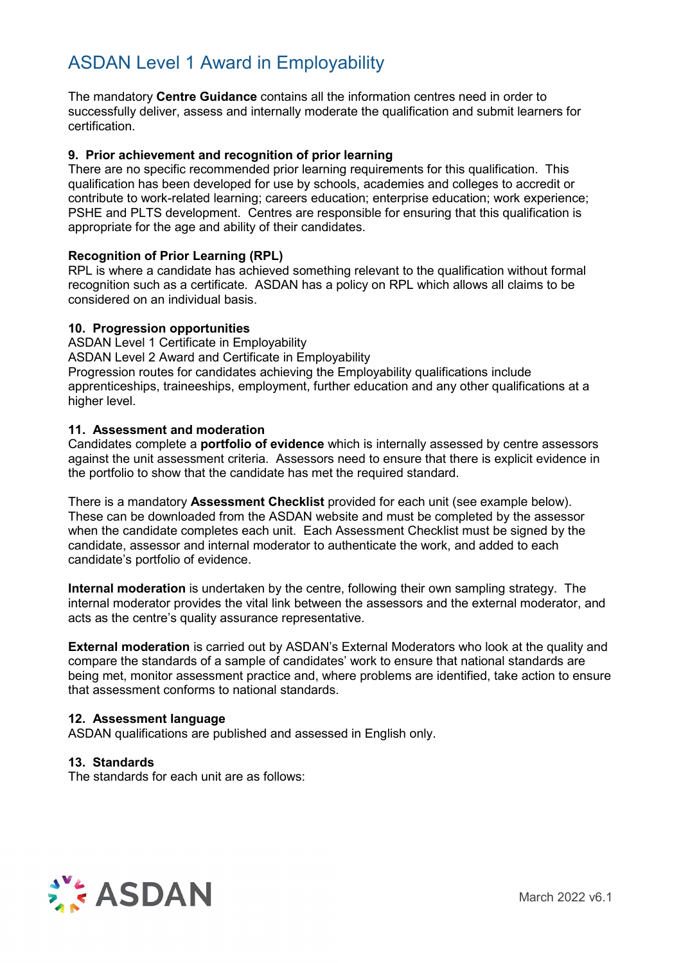The mandatory **Centre Guidance** contains all the information centres need in order to successfully deliver, assess and internally moderate the qualification and submit learners for certification.

#### **9. Prior achievement and recognition of prior learning**

There are no specific recommended prior learning requirements for this qualification. This qualification has been developed for use by schools, academies and colleges to accredit or contribute to work-related learning; careers education; enterprise education; work experience; PSHE and PLTS development. Centres are responsible for ensuring that this qualification is appropriate for the age and ability of their candidates.

#### **Recognition of Prior Learning (RPL)**

RPL is where a candidate has achieved something relevant to the qualification without formal recognition such as a certificate. ASDAN has a policy on RPL which allows all claims to be considered on an individual basis.

#### **10. Progression opportunities**

ASDAN Level 1 Certificate in Employability ASDAN Level 2 Award and Certificate in Employability Progression routes for candidates achieving the Employability qualifications include apprenticeships, traineeships, employment, further education and any other qualifications at a higher level.

#### **11. Assessment and moderation**

Candidates complete a **portfolio of evidence** which is internally assessed by centre assessors against the unit assessment criteria. Assessors need to ensure that there is explicit evidence in the portfolio to show that the candidate has met the required standard.

There is a mandatory **Assessment Checklist** provided for each unit (see example below). These can be downloaded from the ASDAN website and must be completed by the assessor when the candidate completes each unit. Each Assessment Checklist must be signed by the candidate, assessor and internal moderator to authenticate the work, and added to each candidate's portfolio of evidence.

**Internal moderation** is undertaken by the centre, following their own sampling strategy. The internal moderator provides the vital link between the assessors and the external moderator, and acts as the centre's quality assurance representative.

**External moderation** is carried out by ASDAN's External Moderators who look at the quality and compare the standards of a sample of candidates' work to ensure that national standards are being met, monitor assessment practice and, where problems are identified, take action to ensure that assessment conforms to national standards.

#### **12. Assessment language**

ASDAN qualifications are published and assessed in English only.

#### **13. Standards**

The standards for each unit are as follows:

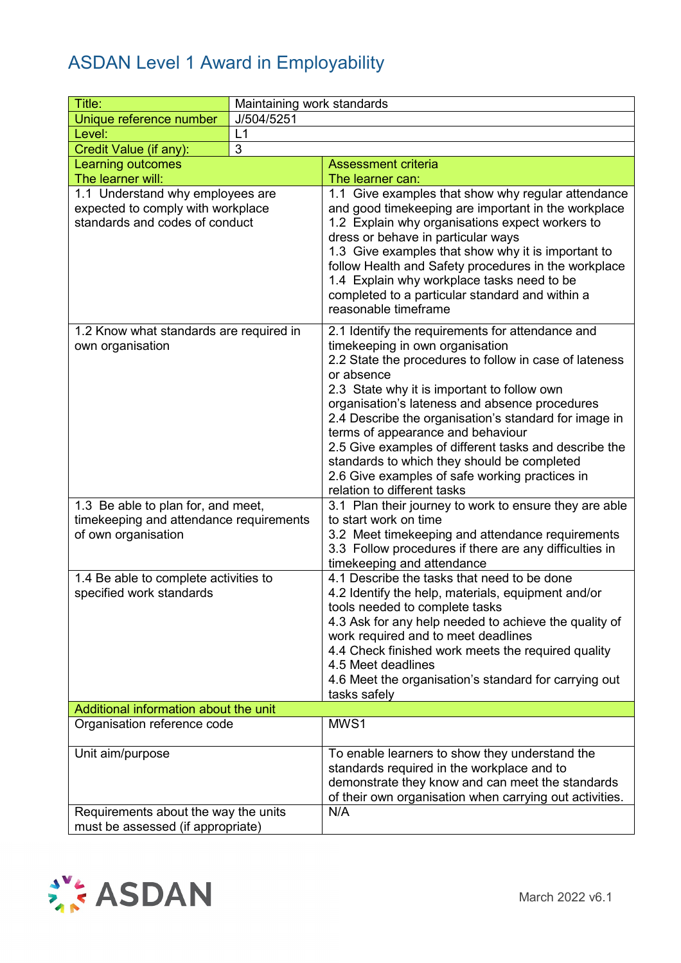| Title:                                                                                               | Maintaining work standards |                                                                                                                                                                                                                                                                                                                                                                                                                                                                                                                                                     |  |
|------------------------------------------------------------------------------------------------------|----------------------------|-----------------------------------------------------------------------------------------------------------------------------------------------------------------------------------------------------------------------------------------------------------------------------------------------------------------------------------------------------------------------------------------------------------------------------------------------------------------------------------------------------------------------------------------------------|--|
| Unique reference number                                                                              | J/504/5251                 |                                                                                                                                                                                                                                                                                                                                                                                                                                                                                                                                                     |  |
| Level:                                                                                               | L1                         |                                                                                                                                                                                                                                                                                                                                                                                                                                                                                                                                                     |  |
| Credit Value (if any):                                                                               | 3                          |                                                                                                                                                                                                                                                                                                                                                                                                                                                                                                                                                     |  |
| <b>Learning outcomes</b>                                                                             |                            | <b>Assessment criteria</b>                                                                                                                                                                                                                                                                                                                                                                                                                                                                                                                          |  |
| The learner will:                                                                                    |                            | The learner can:                                                                                                                                                                                                                                                                                                                                                                                                                                                                                                                                    |  |
| 1.1 Understand why employees are                                                                     |                            | 1.1 Give examples that show why regular attendance                                                                                                                                                                                                                                                                                                                                                                                                                                                                                                  |  |
| expected to comply with workplace<br>standards and codes of conduct                                  |                            | and good timekeeping are important in the workplace<br>1.2 Explain why organisations expect workers to<br>dress or behave in particular ways<br>1.3 Give examples that show why it is important to<br>follow Health and Safety procedures in the workplace<br>1.4 Explain why workplace tasks need to be<br>completed to a particular standard and within a<br>reasonable timeframe                                                                                                                                                                 |  |
| 1.2 Know what standards are required in<br>own organisation                                          |                            | 2.1 Identify the requirements for attendance and<br>timekeeping in own organisation<br>2.2 State the procedures to follow in case of lateness<br>or absence<br>2.3 State why it is important to follow own<br>organisation's lateness and absence procedures<br>2.4 Describe the organisation's standard for image in<br>terms of appearance and behaviour<br>2.5 Give examples of different tasks and describe the<br>standards to which they should be completed<br>2.6 Give examples of safe working practices in<br>relation to different tasks |  |
| 1.3 Be able to plan for, and meet,<br>timekeeping and attendance requirements<br>of own organisation |                            | 3.1 Plan their journey to work to ensure they are able<br>to start work on time<br>3.2 Meet timekeeping and attendance requirements<br>3.3 Follow procedures if there are any difficulties in                                                                                                                                                                                                                                                                                                                                                       |  |
|                                                                                                      |                            | timekeeping and attendance                                                                                                                                                                                                                                                                                                                                                                                                                                                                                                                          |  |
| 1.4 Be able to complete activities to<br>specified work standards                                    |                            | 4.1 Describe the tasks that need to be done<br>4.2 Identify the help, materials, equipment and/or<br>tools needed to complete tasks<br>4.3 Ask for any help needed to achieve the quality of<br>work required and to meet deadlines<br>4.4 Check finished work meets the required quality<br>4.5 Meet deadlines<br>4.6 Meet the organisation's standard for carrying out<br>tasks safely                                                                                                                                                            |  |
| Additional information about the unit                                                                |                            |                                                                                                                                                                                                                                                                                                                                                                                                                                                                                                                                                     |  |
| Organisation reference code                                                                          |                            | MWS1                                                                                                                                                                                                                                                                                                                                                                                                                                                                                                                                                |  |
| Unit aim/purpose                                                                                     |                            | To enable learners to show they understand the<br>standards required in the workplace and to<br>demonstrate they know and can meet the standards<br>of their own organisation when carrying out activities.                                                                                                                                                                                                                                                                                                                                         |  |
| Requirements about the way the units                                                                 |                            | N/A                                                                                                                                                                                                                                                                                                                                                                                                                                                                                                                                                 |  |
| must be assessed (if appropriate)                                                                    |                            |                                                                                                                                                                                                                                                                                                                                                                                                                                                                                                                                                     |  |

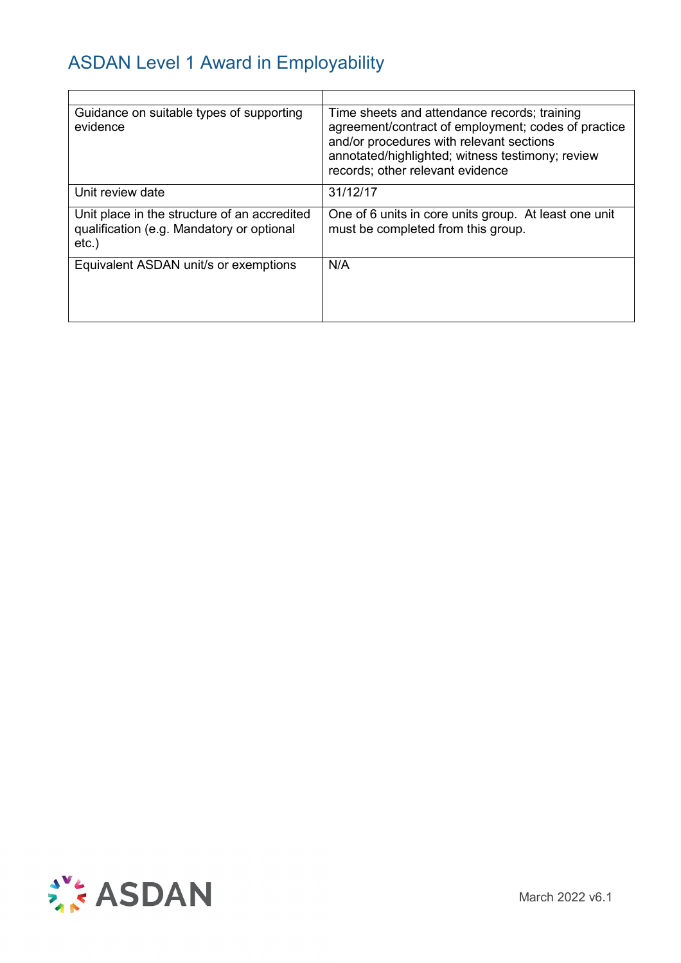| Guidance on suitable types of supporting<br>evidence                                                  | Time sheets and attendance records; training<br>agreement/contract of employment; codes of practice<br>and/or procedures with relevant sections<br>annotated/highlighted; witness testimony; review<br>records; other relevant evidence |
|-------------------------------------------------------------------------------------------------------|-----------------------------------------------------------------------------------------------------------------------------------------------------------------------------------------------------------------------------------------|
| Unit review date                                                                                      | 31/12/17                                                                                                                                                                                                                                |
| Unit place in the structure of an accredited<br>qualification (e.g. Mandatory or optional<br>$etc.$ ) | One of 6 units in core units group. At least one unit<br>must be completed from this group.                                                                                                                                             |
| Equivalent ASDAN unit/s or exemptions                                                                 | N/A                                                                                                                                                                                                                                     |

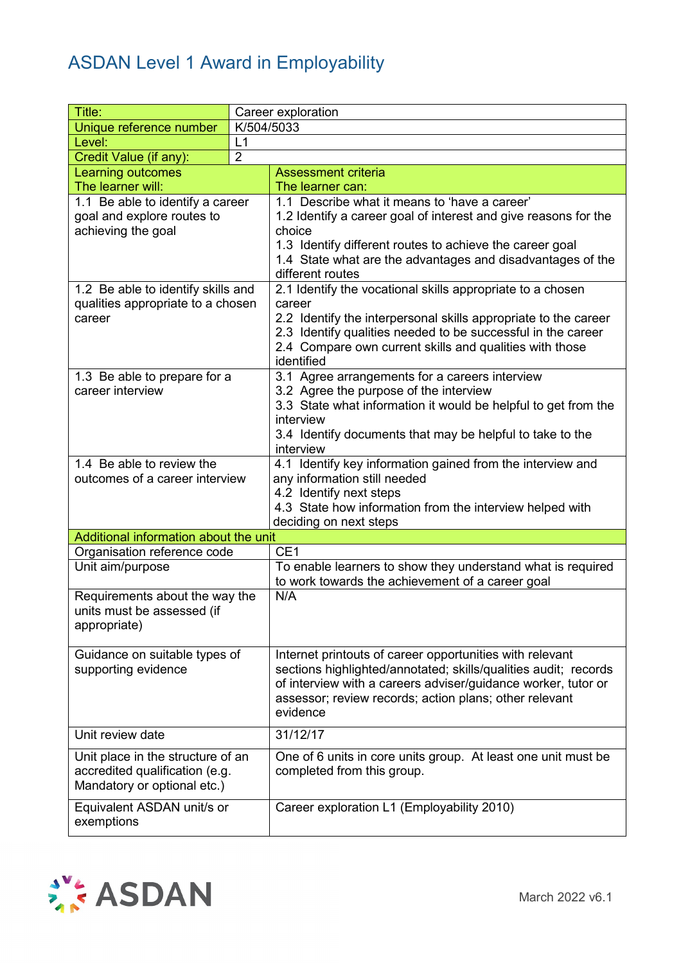| Title:                                        | Career exploration |                                                                                                                         |  |  |  |
|-----------------------------------------------|--------------------|-------------------------------------------------------------------------------------------------------------------------|--|--|--|
| Unique reference number                       |                    | K/504/5033                                                                                                              |  |  |  |
| Level:                                        | L1                 |                                                                                                                         |  |  |  |
| Credit Value (if any):                        | $\overline{2}$     |                                                                                                                         |  |  |  |
| <b>Learning outcomes</b>                      |                    | <b>Assessment criteria</b>                                                                                              |  |  |  |
| The learner will:                             |                    | The learner can:                                                                                                        |  |  |  |
| $\overline{1.1}$ Be able to identify a career |                    | 1.1 Describe what it means to 'have a career'                                                                           |  |  |  |
| goal and explore routes to                    |                    | 1.2 Identify a career goal of interest and give reasons for the                                                         |  |  |  |
| achieving the goal                            |                    | choice                                                                                                                  |  |  |  |
|                                               |                    | 1.3 Identify different routes to achieve the career goal                                                                |  |  |  |
|                                               |                    | 1.4 State what are the advantages and disadvantages of the                                                              |  |  |  |
|                                               |                    | different routes                                                                                                        |  |  |  |
| 1.2 Be able to identify skills and            |                    | 2.1 Identify the vocational skills appropriate to a chosen                                                              |  |  |  |
| qualities appropriate to a chosen             |                    | career                                                                                                                  |  |  |  |
| career                                        |                    | 2.2 Identify the interpersonal skills appropriate to the career                                                         |  |  |  |
|                                               |                    | 2.3 Identify qualities needed to be successful in the career<br>2.4 Compare own current skills and qualities with those |  |  |  |
|                                               |                    | identified                                                                                                              |  |  |  |
| 1.3 Be able to prepare for a                  |                    | 3.1 Agree arrangements for a careers interview                                                                          |  |  |  |
| career interview                              |                    | 3.2 Agree the purpose of the interview                                                                                  |  |  |  |
|                                               |                    | 3.3 State what information it would be helpful to get from the                                                          |  |  |  |
|                                               |                    | interview                                                                                                               |  |  |  |
|                                               |                    | 3.4 Identify documents that may be helpful to take to the                                                               |  |  |  |
|                                               |                    | interview                                                                                                               |  |  |  |
| 1.4 Be able to review the                     |                    | 4.1 Identify key information gained from the interview and                                                              |  |  |  |
| outcomes of a career interview                |                    | any information still needed                                                                                            |  |  |  |
|                                               |                    | 4.2 Identify next steps                                                                                                 |  |  |  |
|                                               |                    | 4.3 State how information from the interview helped with                                                                |  |  |  |
|                                               |                    | deciding on next steps                                                                                                  |  |  |  |
| Additional information about the unit         |                    |                                                                                                                         |  |  |  |
| Organisation reference code                   |                    | CE <sub>1</sub>                                                                                                         |  |  |  |
| Unit aim/purpose                              |                    | To enable learners to show they understand what is required                                                             |  |  |  |
|                                               |                    | to work towards the achievement of a career goal                                                                        |  |  |  |
| Requirements about the way the                |                    | N/A                                                                                                                     |  |  |  |
| units must be assessed (if                    |                    |                                                                                                                         |  |  |  |
| appropriate)                                  |                    |                                                                                                                         |  |  |  |
| Guidance on suitable types of                 |                    | Internet printouts of career opportunities with relevant                                                                |  |  |  |
| supporting evidence                           |                    | sections highlighted/annotated; skills/qualities audit; records                                                         |  |  |  |
|                                               |                    | of interview with a careers adviser/guidance worker, tutor or                                                           |  |  |  |
|                                               |                    | assessor; review records; action plans; other relevant                                                                  |  |  |  |
|                                               |                    | evidence                                                                                                                |  |  |  |
| Unit review date                              |                    | 31/12/17                                                                                                                |  |  |  |
| Unit place in the structure of an             |                    | One of 6 units in core units group. At least one unit must be                                                           |  |  |  |
| accredited qualification (e.g.                |                    | completed from this group.                                                                                              |  |  |  |
| Mandatory or optional etc.)                   |                    |                                                                                                                         |  |  |  |
|                                               |                    |                                                                                                                         |  |  |  |
| Equivalent ASDAN unit/s or                    |                    | Career exploration L1 (Employability 2010)                                                                              |  |  |  |
| exemptions                                    |                    |                                                                                                                         |  |  |  |

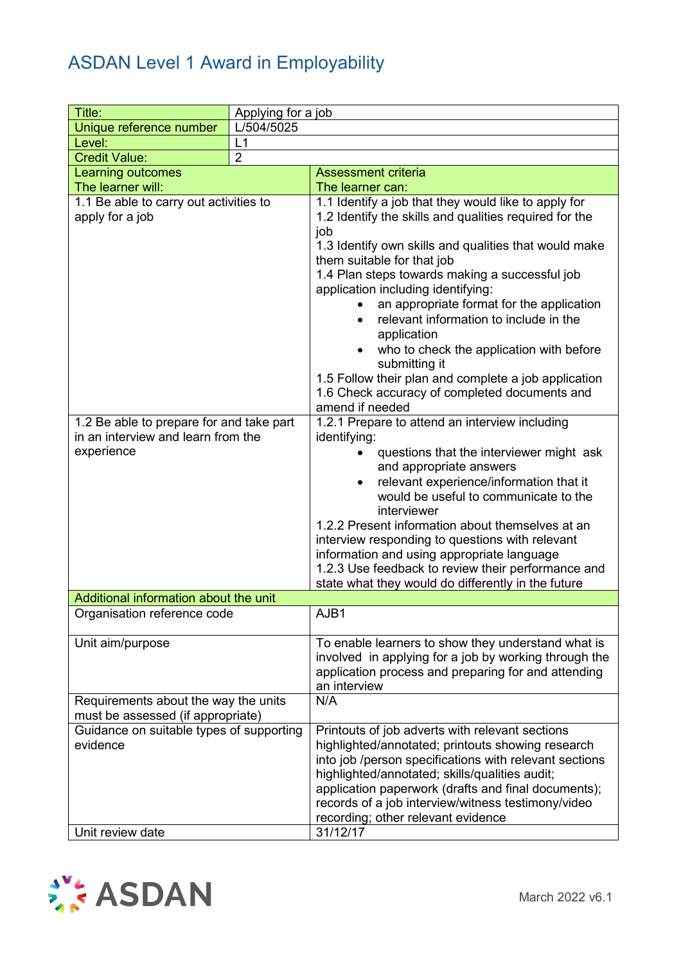| Title:                                                                                                                                                    | Applying for a job |                                                                                                                                                                                                                                                                                                                                                                                                                                                                                                                                                                                                                                                                                                                                                                                                                                                                                                                                                                                                                                                                                                                                            |  |
|-----------------------------------------------------------------------------------------------------------------------------------------------------------|--------------------|--------------------------------------------------------------------------------------------------------------------------------------------------------------------------------------------------------------------------------------------------------------------------------------------------------------------------------------------------------------------------------------------------------------------------------------------------------------------------------------------------------------------------------------------------------------------------------------------------------------------------------------------------------------------------------------------------------------------------------------------------------------------------------------------------------------------------------------------------------------------------------------------------------------------------------------------------------------------------------------------------------------------------------------------------------------------------------------------------------------------------------------------|--|
| Unique reference number                                                                                                                                   | L/504/5025         |                                                                                                                                                                                                                                                                                                                                                                                                                                                                                                                                                                                                                                                                                                                                                                                                                                                                                                                                                                                                                                                                                                                                            |  |
| Level:                                                                                                                                                    | L1                 |                                                                                                                                                                                                                                                                                                                                                                                                                                                                                                                                                                                                                                                                                                                                                                                                                                                                                                                                                                                                                                                                                                                                            |  |
| <b>Credit Value:</b>                                                                                                                                      | $\overline{2}$     |                                                                                                                                                                                                                                                                                                                                                                                                                                                                                                                                                                                                                                                                                                                                                                                                                                                                                                                                                                                                                                                                                                                                            |  |
| Learning outcomes                                                                                                                                         |                    | <b>Assessment criteria</b>                                                                                                                                                                                                                                                                                                                                                                                                                                                                                                                                                                                                                                                                                                                                                                                                                                                                                                                                                                                                                                                                                                                 |  |
| The learner will:                                                                                                                                         |                    | The learner can:                                                                                                                                                                                                                                                                                                                                                                                                                                                                                                                                                                                                                                                                                                                                                                                                                                                                                                                                                                                                                                                                                                                           |  |
| 1.1 Be able to carry out activities to<br>apply for a job<br>1.2 Be able to prepare for and take part<br>in an interview and learn from the<br>experience |                    | 1.1 Identify a job that they would like to apply for<br>1.2 Identify the skills and qualities required for the<br>job<br>1.3 Identify own skills and qualities that would make<br>them suitable for that job<br>1.4 Plan steps towards making a successful job<br>application including identifying:<br>an appropriate format for the application<br>$\bullet$<br>relevant information to include in the<br>$\bullet$<br>application<br>who to check the application with before<br>submitting it<br>1.5 Follow their plan and complete a job application<br>1.6 Check accuracy of completed documents and<br>amend if needed<br>1.2.1 Prepare to attend an interview including<br>identifying:<br>questions that the interviewer might ask<br>and appropriate answers<br>relevant experience/information that it<br>would be useful to communicate to the<br>interviewer<br>1.2.2 Present information about themselves at an<br>interview responding to questions with relevant<br>information and using appropriate language<br>1.2.3 Use feedback to review their performance and<br>state what they would do differently in the future |  |
| Additional information about the unit                                                                                                                     |                    |                                                                                                                                                                                                                                                                                                                                                                                                                                                                                                                                                                                                                                                                                                                                                                                                                                                                                                                                                                                                                                                                                                                                            |  |
| Organisation reference code                                                                                                                               |                    | AJB1                                                                                                                                                                                                                                                                                                                                                                                                                                                                                                                                                                                                                                                                                                                                                                                                                                                                                                                                                                                                                                                                                                                                       |  |
| Unit aim/purpose                                                                                                                                          |                    | To enable learners to show they understand what is<br>involved in applying for a job by working through the<br>application process and preparing for and attending<br>an interview                                                                                                                                                                                                                                                                                                                                                                                                                                                                                                                                                                                                                                                                                                                                                                                                                                                                                                                                                         |  |
| Requirements about the way the units<br>must be assessed (if appropriate)                                                                                 |                    | N/A                                                                                                                                                                                                                                                                                                                                                                                                                                                                                                                                                                                                                                                                                                                                                                                                                                                                                                                                                                                                                                                                                                                                        |  |
| Guidance on suitable types of supporting<br>evidence<br>Unit review date                                                                                  |                    | Printouts of job adverts with relevant sections<br>highlighted/annotated; printouts showing research<br>into job /person specifications with relevant sections<br>highlighted/annotated; skills/qualities audit;<br>application paperwork (drafts and final documents);<br>records of a job interview/witness testimony/video<br>recording; other relevant evidence<br>31/12/17                                                                                                                                                                                                                                                                                                                                                                                                                                                                                                                                                                                                                                                                                                                                                            |  |

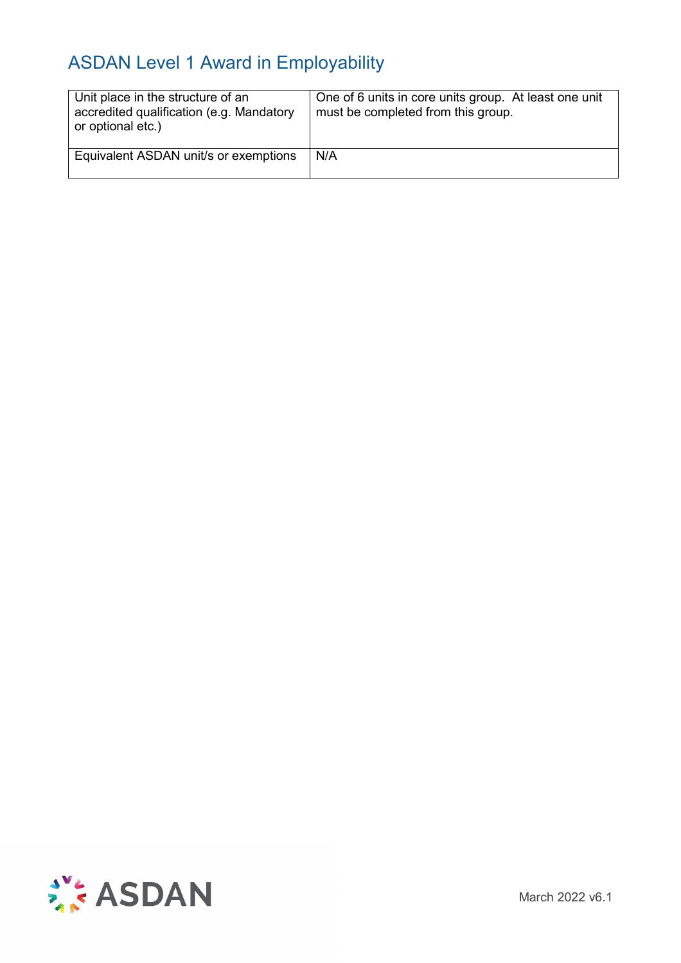| Unit place in the structure of an<br>accredited qualification (e.g. Mandatory<br>or optional etc.) | One of 6 units in core units group. At least one unit<br>must be completed from this group. |
|----------------------------------------------------------------------------------------------------|---------------------------------------------------------------------------------------------|
| Equivalent ASDAN unit/s or exemptions                                                              | N/A                                                                                         |



March 2022 v6.1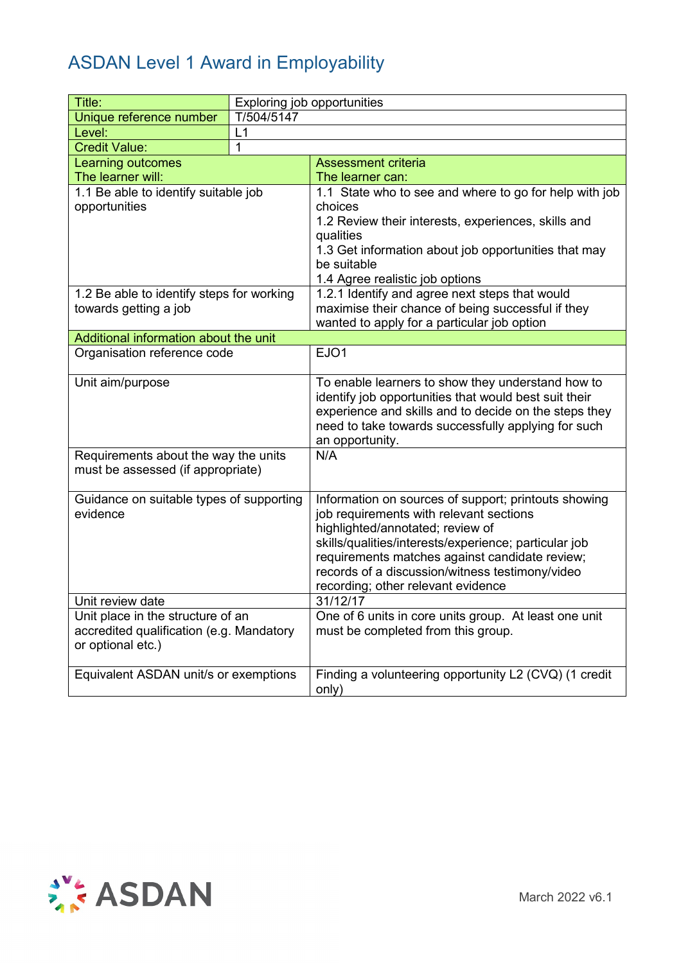| Title:                                                        |            | Exploring job opportunities                                         |
|---------------------------------------------------------------|------------|---------------------------------------------------------------------|
| Unique reference number                                       | T/504/5147 |                                                                     |
| Level:                                                        | L1         |                                                                     |
| <b>Credit Value:</b>                                          | 1          |                                                                     |
| Learning outcomes                                             |            | <b>Assessment criteria</b>                                          |
| The learner will:                                             |            | The learner can:                                                    |
| 1.1 Be able to identify suitable job                          |            | 1.1 State who to see and where to go for help with job              |
| opportunities                                                 |            | choices                                                             |
|                                                               |            | 1.2 Review their interests, experiences, skills and                 |
|                                                               |            | qualities                                                           |
|                                                               |            | 1.3 Get information about job opportunities that may<br>be suitable |
|                                                               |            | 1.4 Agree realistic job options                                     |
| 1.2 Be able to identify steps for working                     |            | 1.2.1 Identify and agree next steps that would                      |
| towards getting a job                                         |            | maximise their chance of being successful if they                   |
|                                                               |            | wanted to apply for a particular job option                         |
| Additional information about the unit                         |            |                                                                     |
| Organisation reference code                                   |            | EJO1                                                                |
|                                                               |            |                                                                     |
| Unit aim/purpose                                              |            | To enable learners to show they understand how to                   |
|                                                               |            | identify job opportunities that would best suit their               |
|                                                               |            | experience and skills and to decide on the steps they               |
|                                                               |            | need to take towards successfully applying for such                 |
| Requirements about the way the units                          |            | an opportunity.<br>N/A                                              |
| must be assessed (if appropriate)                             |            |                                                                     |
|                                                               |            |                                                                     |
| Guidance on suitable types of supporting                      |            | Information on sources of support; printouts showing                |
| evidence                                                      |            | job requirements with relevant sections                             |
|                                                               |            | highlighted/annotated; review of                                    |
|                                                               |            | skills/qualities/interests/experience; particular job               |
|                                                               |            | requirements matches against candidate review;                      |
|                                                               |            | records of a discussion/witness testimony/video                     |
|                                                               |            | recording; other relevant evidence                                  |
| Unit review date                                              |            | 31/12/17                                                            |
| Unit place in the structure of an                             |            | One of 6 units in core units group. At least one unit               |
| accredited qualification (e.g. Mandatory<br>or optional etc.) |            | must be completed from this group.                                  |
|                                                               |            |                                                                     |
| Equivalent ASDAN unit/s or exemptions                         |            | Finding a volunteering opportunity L2 (CVQ) (1 credit               |
|                                                               |            | only)                                                               |

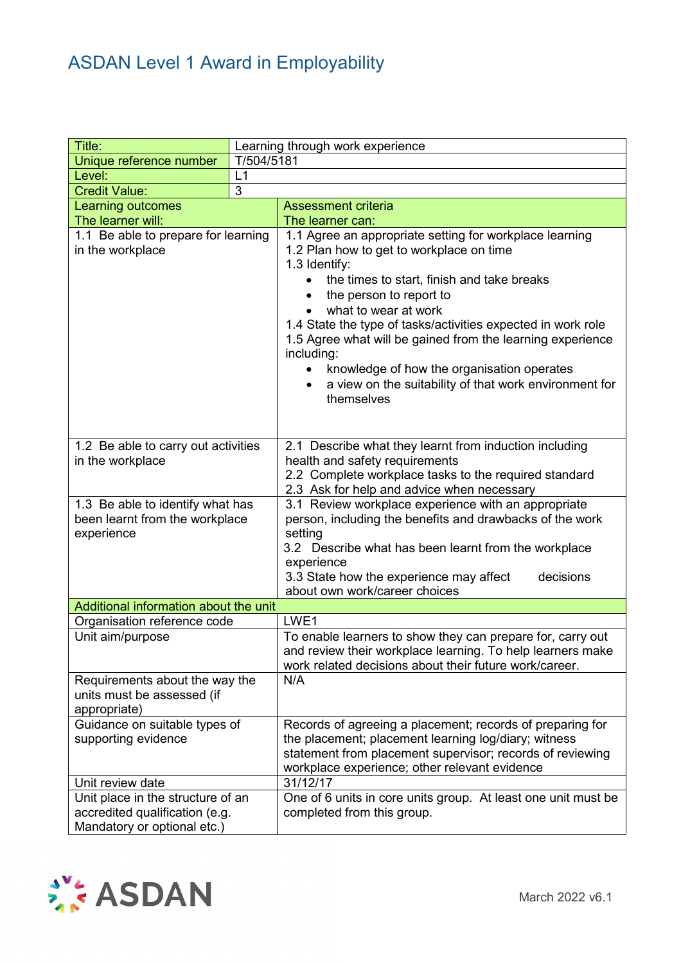| Title:                                                                                             | Learning through work experience |                                                                                                                                                                                                                                                                                                                                                                                                                                                                                                      |  |  |
|----------------------------------------------------------------------------------------------------|----------------------------------|------------------------------------------------------------------------------------------------------------------------------------------------------------------------------------------------------------------------------------------------------------------------------------------------------------------------------------------------------------------------------------------------------------------------------------------------------------------------------------------------------|--|--|
| Unique reference number                                                                            | T/504/5181                       |                                                                                                                                                                                                                                                                                                                                                                                                                                                                                                      |  |  |
| Level:                                                                                             | L1                               |                                                                                                                                                                                                                                                                                                                                                                                                                                                                                                      |  |  |
| <b>Credit Value:</b>                                                                               | $\overline{3}$                   |                                                                                                                                                                                                                                                                                                                                                                                                                                                                                                      |  |  |
| <b>Learning outcomes</b>                                                                           |                                  | <b>Assessment criteria</b>                                                                                                                                                                                                                                                                                                                                                                                                                                                                           |  |  |
| The learner will:                                                                                  |                                  | The learner can:                                                                                                                                                                                                                                                                                                                                                                                                                                                                                     |  |  |
| 1.1 Be able to prepare for learning<br>in the workplace                                            |                                  | 1.1 Agree an appropriate setting for workplace learning<br>1.2 Plan how to get to workplace on time<br>1.3 Identify:<br>the times to start, finish and take breaks<br>the person to report to<br>what to wear at work<br>1.4 State the type of tasks/activities expected in work role<br>1.5 Agree what will be gained from the learning experience<br>including:<br>knowledge of how the organisation operates<br>$\bullet$<br>a view on the suitability of that work environment for<br>themselves |  |  |
| 1.2 Be able to carry out activities<br>in the workplace                                            |                                  | 2.1 Describe what they learnt from induction including<br>health and safety requirements<br>2.2 Complete workplace tasks to the required standard<br>2.3 Ask for help and advice when necessary                                                                                                                                                                                                                                                                                                      |  |  |
| 1.3 Be able to identify what has<br>been learnt from the workplace<br>experience                   |                                  | 3.1 Review workplace experience with an appropriate<br>person, including the benefits and drawbacks of the work<br>setting<br>3.2 Describe what has been learnt from the workplace<br>experience<br>3.3 State how the experience may affect<br>decisions<br>about own work/career choices                                                                                                                                                                                                            |  |  |
| Additional information about the unit                                                              |                                  |                                                                                                                                                                                                                                                                                                                                                                                                                                                                                                      |  |  |
| Organisation reference code                                                                        |                                  | LWE1                                                                                                                                                                                                                                                                                                                                                                                                                                                                                                 |  |  |
| Unit aim/purpose                                                                                   |                                  | To enable learners to show they can prepare for, carry out<br>and review their workplace learning. To help learners make<br>work related decisions about their future work/career.                                                                                                                                                                                                                                                                                                                   |  |  |
| Requirements about the way the<br>units must be assessed (if<br>appropriate)                       |                                  | N/A                                                                                                                                                                                                                                                                                                                                                                                                                                                                                                  |  |  |
| Guidance on suitable types of<br>supporting evidence                                               |                                  | Records of agreeing a placement; records of preparing for<br>the placement; placement learning log/diary; witness<br>statement from placement supervisor; records of reviewing<br>workplace experience; other relevant evidence                                                                                                                                                                                                                                                                      |  |  |
| Unit review date                                                                                   |                                  | 31/12/17                                                                                                                                                                                                                                                                                                                                                                                                                                                                                             |  |  |
| Unit place in the structure of an<br>accredited qualification (e.g.<br>Mandatory or optional etc.) |                                  | One of 6 units in core units group. At least one unit must be<br>completed from this group.                                                                                                                                                                                                                                                                                                                                                                                                          |  |  |

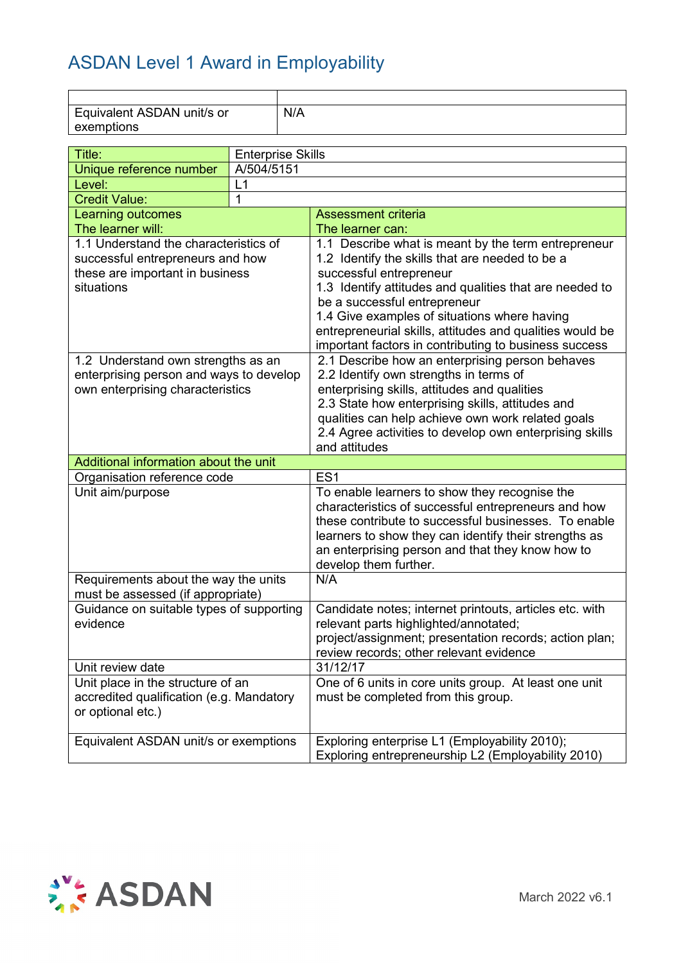| Equivalent ASDAN unit/s or<br>exemptions |            | N/A                      |                                                                                                           |  |
|------------------------------------------|------------|--------------------------|-----------------------------------------------------------------------------------------------------------|--|
|                                          |            |                          |                                                                                                           |  |
| Title:                                   |            | <b>Enterprise Skills</b> |                                                                                                           |  |
| Unique reference number                  | A/504/5151 |                          |                                                                                                           |  |
| Level:                                   | L1         |                          |                                                                                                           |  |
| <b>Credit Value:</b>                     | 1          |                          |                                                                                                           |  |
| Learning outcomes<br>The learner will:   |            |                          | <b>Assessment criteria</b><br>The learner can:                                                            |  |
| 1.1 Understand the characteristics of    |            |                          | 1.1 Describe what is meant by the term entrepreneur                                                       |  |
| successful entrepreneurs and how         |            |                          | 1.2 Identify the skills that are needed to be a                                                           |  |
| these are important in business          |            |                          | successful entrepreneur                                                                                   |  |
| situations                               |            |                          | 1.3 Identify attitudes and qualities that are needed to                                                   |  |
|                                          |            |                          | be a successful entrepreneur                                                                              |  |
|                                          |            |                          | 1.4 Give examples of situations where having                                                              |  |
|                                          |            |                          | entrepreneurial skills, attitudes and qualities would be                                                  |  |
|                                          |            |                          | important factors in contributing to business success                                                     |  |
| 1.2 Understand own strengths as an       |            |                          | 2.1 Describe how an enterprising person behaves                                                           |  |
| enterprising person and ways to develop  |            |                          | 2.2 Identify own strengths in terms of                                                                    |  |
| own enterprising characteristics         |            |                          | enterprising skills, attitudes and qualities                                                              |  |
|                                          |            |                          | 2.3 State how enterprising skills, attitudes and                                                          |  |
|                                          |            |                          | qualities can help achieve own work related goals                                                         |  |
|                                          |            |                          | 2.4 Agree activities to develop own enterprising skills                                                   |  |
|                                          |            |                          | and attitudes                                                                                             |  |
| Additional information about the unit    |            |                          |                                                                                                           |  |
| Organisation reference code              |            |                          | ES <sub>1</sub>                                                                                           |  |
| Unit aim/purpose                         |            |                          | To enable learners to show they recognise the                                                             |  |
|                                          |            |                          | characteristics of successful entrepreneurs and how                                                       |  |
|                                          |            |                          | these contribute to successful businesses. To enable                                                      |  |
|                                          |            |                          | learners to show they can identify their strengths as<br>an enterprising person and that they know how to |  |
|                                          |            |                          | develop them further.                                                                                     |  |
| Requirements about the way the units     |            |                          | N/A                                                                                                       |  |
| must be assessed (if appropriate)        |            |                          |                                                                                                           |  |
| Guidance on suitable types of supporting |            |                          | Candidate notes; internet printouts, articles etc. with                                                   |  |
| evidence                                 |            |                          | relevant parts highlighted/annotated;                                                                     |  |
|                                          |            |                          | project/assignment; presentation records; action plan;                                                    |  |
|                                          |            |                          | review records; other relevant evidence                                                                   |  |
| Unit review date                         |            |                          | 31/12/17                                                                                                  |  |
| Unit place in the structure of an        |            |                          | One of 6 units in core units group. At least one unit                                                     |  |
| accredited qualification (e.g. Mandatory |            |                          | must be completed from this group.                                                                        |  |
| or optional etc.)                        |            |                          |                                                                                                           |  |
|                                          |            |                          |                                                                                                           |  |
| Equivalent ASDAN unit/s or exemptions    |            |                          | Exploring enterprise L1 (Employability 2010);                                                             |  |
|                                          |            |                          | Exploring entrepreneurship L2 (Employability 2010)                                                        |  |

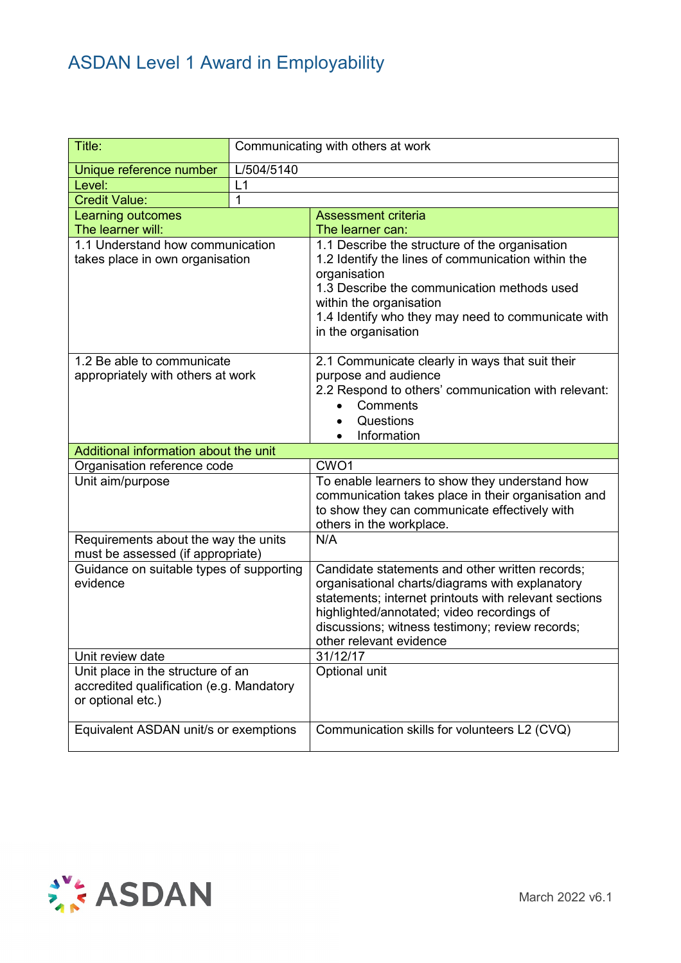| Title:                                                                                             |            | Communicating with others at work                                                                                                                                                                                                                                                       |
|----------------------------------------------------------------------------------------------------|------------|-----------------------------------------------------------------------------------------------------------------------------------------------------------------------------------------------------------------------------------------------------------------------------------------|
| Unique reference number                                                                            | L/504/5140 |                                                                                                                                                                                                                                                                                         |
| Level:                                                                                             | L1         |                                                                                                                                                                                                                                                                                         |
| <b>Credit Value:</b>                                                                               | 1          |                                                                                                                                                                                                                                                                                         |
| <b>Learning outcomes</b>                                                                           |            | <b>Assessment criteria</b>                                                                                                                                                                                                                                                              |
| The learner will:                                                                                  |            | The learner can:                                                                                                                                                                                                                                                                        |
| 1.1 Understand how communication<br>takes place in own organisation                                |            | 1.1 Describe the structure of the organisation<br>1.2 Identify the lines of communication within the<br>organisation<br>1.3 Describe the communication methods used<br>within the organisation<br>1.4 Identify who they may need to communicate with<br>in the organisation             |
| 1.2 Be able to communicate<br>appropriately with others at work                                    |            | 2.1 Communicate clearly in ways that suit their<br>purpose and audience<br>2.2 Respond to others' communication with relevant:<br>Comments<br>Questions<br>Information                                                                                                                  |
| Additional information about the unit                                                              |            |                                                                                                                                                                                                                                                                                         |
| Organisation reference code                                                                        |            | CWO <sub>1</sub>                                                                                                                                                                                                                                                                        |
| Unit aim/purpose                                                                                   |            | To enable learners to show they understand how<br>communication takes place in their organisation and<br>to show they can communicate effectively with<br>others in the workplace.                                                                                                      |
| Requirements about the way the units                                                               |            | N/A                                                                                                                                                                                                                                                                                     |
| must be assessed (if appropriate)                                                                  |            |                                                                                                                                                                                                                                                                                         |
| Guidance on suitable types of supporting<br>evidence                                               |            | Candidate statements and other written records;<br>organisational charts/diagrams with explanatory<br>statements; internet printouts with relevant sections<br>highlighted/annotated; video recordings of<br>discussions; witness testimony; review records;<br>other relevant evidence |
| Unit review date                                                                                   |            | 31/12/17                                                                                                                                                                                                                                                                                |
| Unit place in the structure of an<br>accredited qualification (e.g. Mandatory<br>or optional etc.) |            | Optional unit                                                                                                                                                                                                                                                                           |
| Equivalent ASDAN unit/s or exemptions                                                              |            | Communication skills for volunteers L2 (CVQ)                                                                                                                                                                                                                                            |

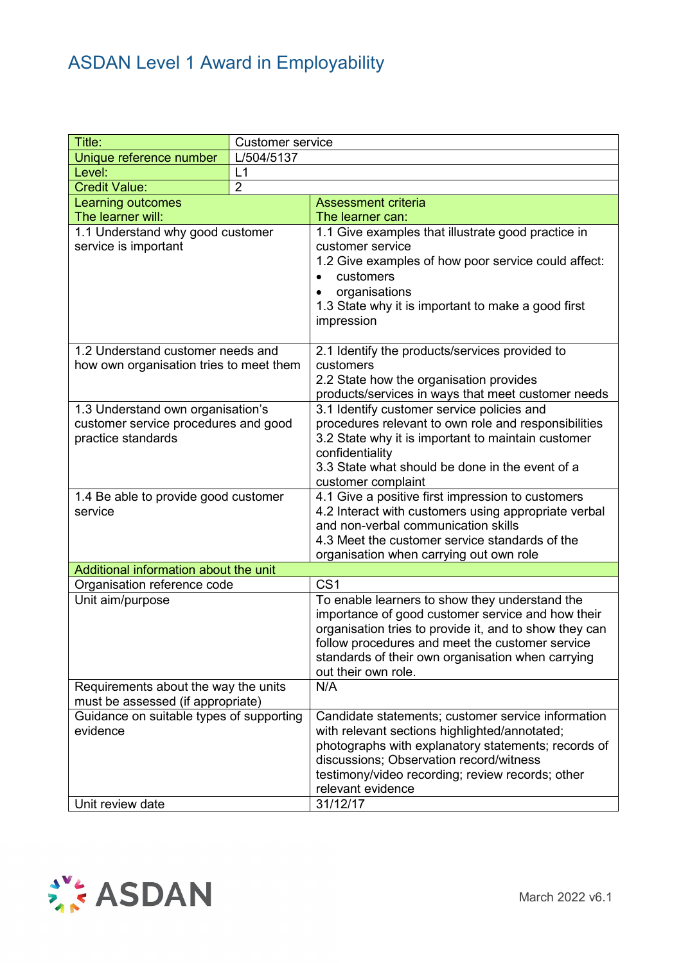| Title:                                                                                          | <b>Customer service</b> |                                                                                                                                                                                                                                                                                              |  |
|-------------------------------------------------------------------------------------------------|-------------------------|----------------------------------------------------------------------------------------------------------------------------------------------------------------------------------------------------------------------------------------------------------------------------------------------|--|
| Unique reference number                                                                         | L/504/5137              |                                                                                                                                                                                                                                                                                              |  |
| Level:                                                                                          | L1                      |                                                                                                                                                                                                                                                                                              |  |
| <b>Credit Value:</b>                                                                            | $\overline{2}$          |                                                                                                                                                                                                                                                                                              |  |
| Learning outcomes                                                                               |                         | <b>Assessment criteria</b>                                                                                                                                                                                                                                                                   |  |
| The learner will:                                                                               |                         | The learner can:                                                                                                                                                                                                                                                                             |  |
| 1.1 Understand why good customer<br>service is important                                        |                         | 1.1 Give examples that illustrate good practice in<br>customer service<br>1.2 Give examples of how poor service could affect:<br>customers<br>organisations<br>1.3 State why it is important to make a good first<br>impression                                                              |  |
| 1.2 Understand customer needs and<br>how own organisation tries to meet them                    |                         | 2.1 Identify the products/services provided to<br>customers                                                                                                                                                                                                                                  |  |
|                                                                                                 |                         | 2.2 State how the organisation provides<br>products/services in ways that meet customer needs                                                                                                                                                                                                |  |
| 1.3 Understand own organisation's<br>customer service procedures and good<br>practice standards |                         | 3.1 Identify customer service policies and<br>procedures relevant to own role and responsibilities<br>3.2 State why it is important to maintain customer<br>confidentiality<br>3.3 State what should be done in the event of a<br>customer complaint                                         |  |
| 1.4 Be able to provide good customer<br>service                                                 |                         | 4.1 Give a positive first impression to customers<br>4.2 Interact with customers using appropriate verbal<br>and non-verbal communication skills<br>4.3 Meet the customer service standards of the<br>organisation when carrying out own role                                                |  |
| Additional information about the unit                                                           |                         |                                                                                                                                                                                                                                                                                              |  |
| Organisation reference code                                                                     |                         | CS <sub>1</sub>                                                                                                                                                                                                                                                                              |  |
| Unit aim/purpose                                                                                |                         | To enable learners to show they understand the<br>importance of good customer service and how their<br>organisation tries to provide it, and to show they can<br>follow procedures and meet the customer service<br>standards of their own organisation when carrying<br>out their own role. |  |
| Requirements about the way the units<br>must be assessed (if appropriate)                       |                         | N/A                                                                                                                                                                                                                                                                                          |  |
| Guidance on suitable types of supporting<br>evidence                                            |                         | Candidate statements; customer service information<br>with relevant sections highlighted/annotated;<br>photographs with explanatory statements; records of<br>discussions; Observation record/witness<br>testimony/video recording; review records; other<br>relevant evidence               |  |
| Unit review date                                                                                |                         | 31/12/17                                                                                                                                                                                                                                                                                     |  |

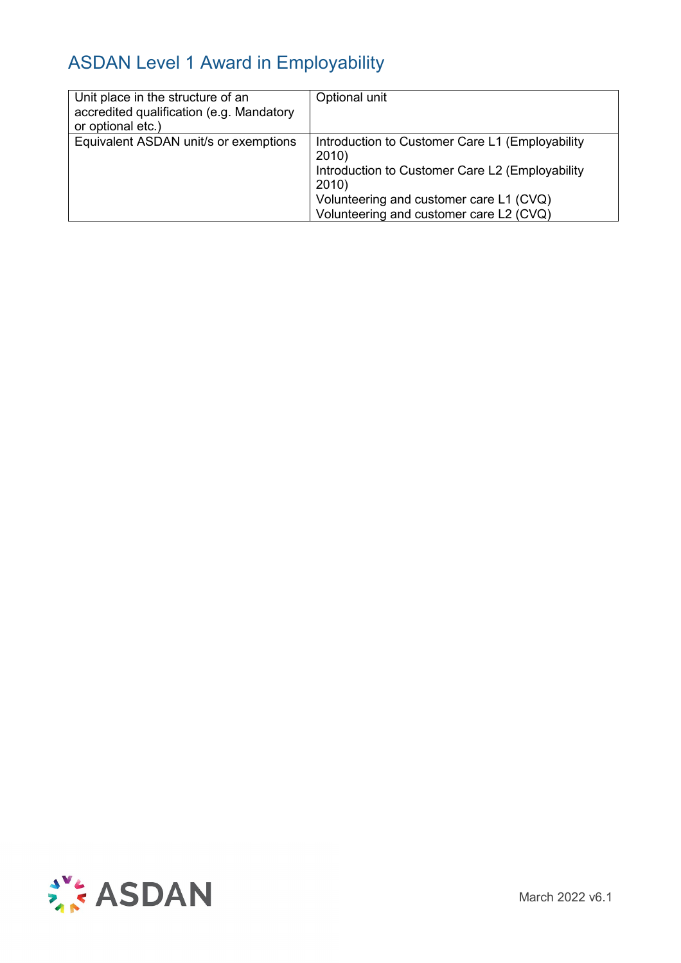| Unit place in the structure of an<br>accredited qualification (e.g. Mandatory<br>or optional etc.) | Optional unit                                                                                                                                                                                              |
|----------------------------------------------------------------------------------------------------|------------------------------------------------------------------------------------------------------------------------------------------------------------------------------------------------------------|
| Equivalent ASDAN unit/s or exemptions                                                              | Introduction to Customer Care L1 (Employability<br>2010)<br>Introduction to Customer Care L2 (Employability<br>2010)<br>Volunteering and customer care L1 (CVQ)<br>Volunteering and customer care L2 (CVQ) |

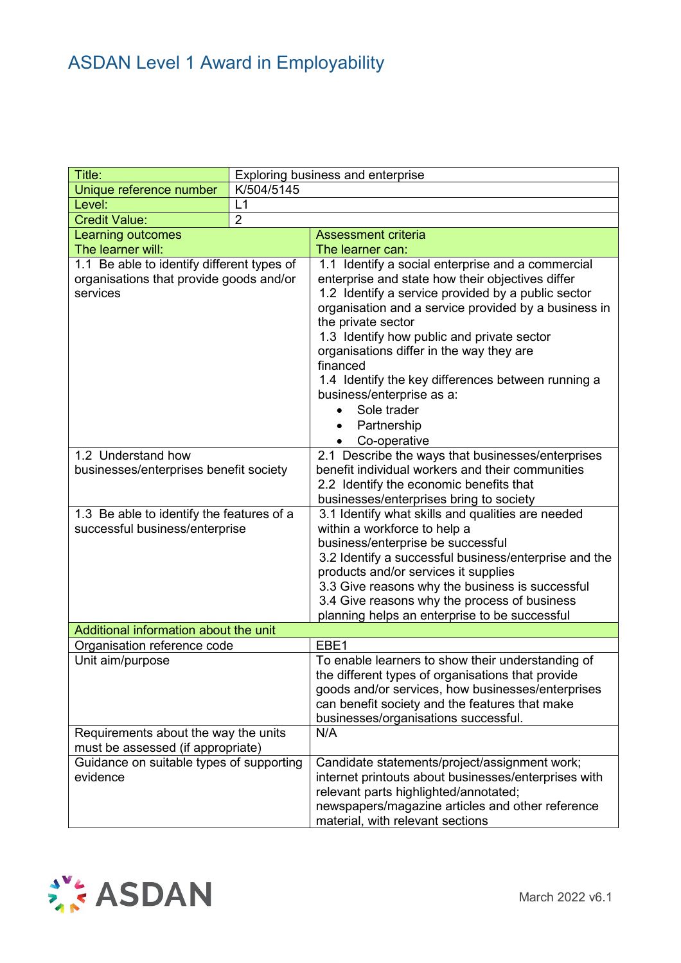| Title:                                               | Exploring business and enterprise     |                                                                                               |  |
|------------------------------------------------------|---------------------------------------|-----------------------------------------------------------------------------------------------|--|
| Unique reference number                              | K/504/5145                            |                                                                                               |  |
| Level:                                               | L1                                    |                                                                                               |  |
| <b>Credit Value:</b>                                 | $\overline{2}$                        |                                                                                               |  |
| Learning outcomes                                    |                                       | <b>Assessment criteria</b>                                                                    |  |
| The learner will:                                    |                                       | The learner can:                                                                              |  |
| 1.1 Be able to identify different types of           |                                       | 1.1 Identify a social enterprise and a commercial                                             |  |
| organisations that provide goods and/or              |                                       | enterprise and state how their objectives differ                                              |  |
| services                                             |                                       | 1.2 Identify a service provided by a public sector                                            |  |
|                                                      |                                       | organisation and a service provided by a business in                                          |  |
|                                                      |                                       | the private sector                                                                            |  |
|                                                      |                                       | 1.3 Identify how public and private sector                                                    |  |
|                                                      |                                       | organisations differ in the way they are                                                      |  |
|                                                      |                                       | financed                                                                                      |  |
|                                                      |                                       | 1.4 Identify the key differences between running a                                            |  |
|                                                      |                                       | business/enterprise as a:                                                                     |  |
|                                                      |                                       | Sole trader                                                                                   |  |
|                                                      |                                       | Partnership                                                                                   |  |
|                                                      |                                       | Co-operative<br>$\bullet$                                                                     |  |
| 1.2 Understand how                                   |                                       | 2.1 Describe the ways that businesses/enterprises                                             |  |
| businesses/enterprises benefit society               |                                       | benefit individual workers and their communities                                              |  |
|                                                      |                                       | 2.2 Identify the economic benefits that                                                       |  |
| 1.3 Be able to identify the features of a            |                                       | businesses/enterprises bring to society<br>3.1 Identify what skills and qualities are needed  |  |
| successful business/enterprise                       |                                       | within a workforce to help a                                                                  |  |
|                                                      |                                       | business/enterprise be successful                                                             |  |
|                                                      |                                       | 3.2 Identify a successful business/enterprise and the                                         |  |
|                                                      |                                       | products and/or services it supplies                                                          |  |
|                                                      |                                       | 3.3 Give reasons why the business is successful                                               |  |
|                                                      |                                       | 3.4 Give reasons why the process of business                                                  |  |
|                                                      |                                       | planning helps an enterprise to be successful                                                 |  |
|                                                      | Additional information about the unit |                                                                                               |  |
| Organisation reference code                          |                                       | EBE1                                                                                          |  |
| Unit aim/purpose                                     |                                       | To enable learners to show their understanding of                                             |  |
|                                                      |                                       | the different types of organisations that provide                                             |  |
|                                                      |                                       | goods and/or services, how businesses/enterprises                                             |  |
|                                                      |                                       | can benefit society and the features that make                                                |  |
|                                                      |                                       | businesses/organisations successful.                                                          |  |
| Requirements about the way the units                 |                                       | N/A                                                                                           |  |
| must be assessed (if appropriate)                    |                                       |                                                                                               |  |
| Guidance on suitable types of supporting<br>evidence |                                       | Candidate statements/project/assignment work;                                                 |  |
|                                                      |                                       | internet printouts about businesses/enterprises with<br>relevant parts highlighted/annotated; |  |
|                                                      |                                       | newspapers/magazine articles and other reference                                              |  |
|                                                      |                                       | material, with relevant sections                                                              |  |

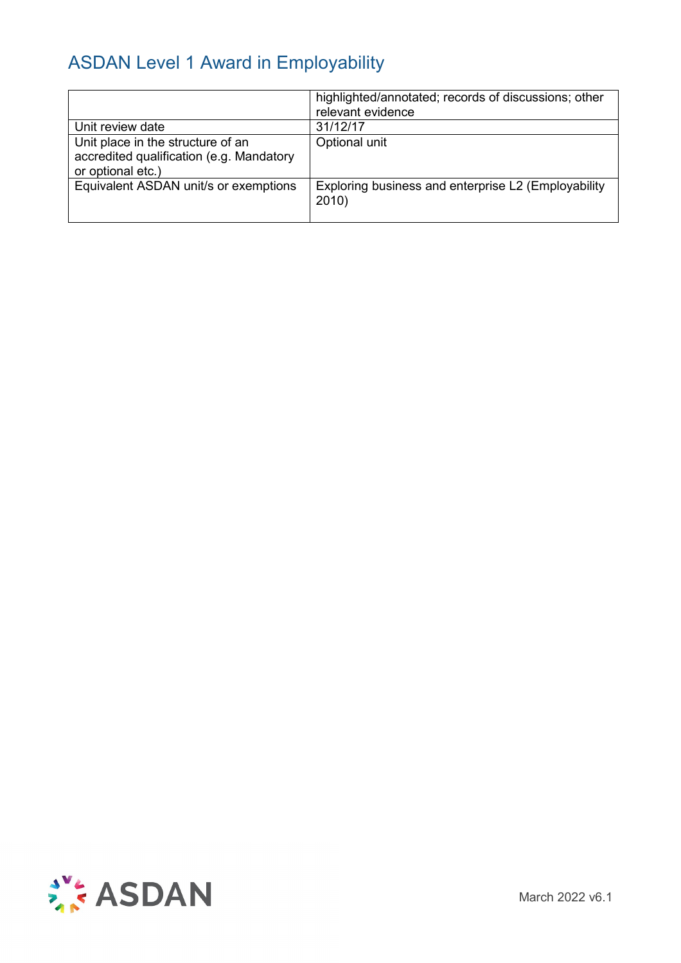|                                                                                                    | highlighted/annotated; records of discussions; other<br>relevant evidence |
|----------------------------------------------------------------------------------------------------|---------------------------------------------------------------------------|
| Unit review date                                                                                   | 31/12/17                                                                  |
| Unit place in the structure of an<br>accredited qualification (e.g. Mandatory<br>or optional etc.) | Optional unit                                                             |
| Equivalent ASDAN unit/s or exemptions                                                              | Exploring business and enterprise L2 (Employability<br>2010)              |

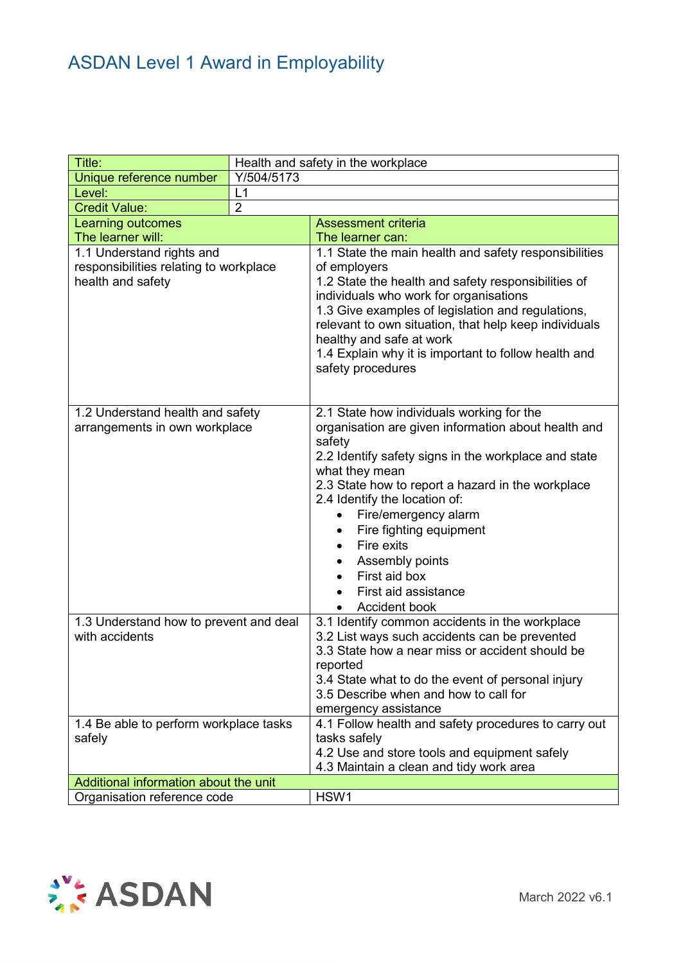| Title:                                                                                             | Health and safety in the workplace |                                                                                                                                                                                                                                                                                                                                                                                                                                       |  |  |
|----------------------------------------------------------------------------------------------------|------------------------------------|---------------------------------------------------------------------------------------------------------------------------------------------------------------------------------------------------------------------------------------------------------------------------------------------------------------------------------------------------------------------------------------------------------------------------------------|--|--|
| Unique reference number                                                                            | Y/504/5173                         |                                                                                                                                                                                                                                                                                                                                                                                                                                       |  |  |
| Level:                                                                                             | L1                                 |                                                                                                                                                                                                                                                                                                                                                                                                                                       |  |  |
| <b>Credit Value:</b>                                                                               | $\overline{2}$                     |                                                                                                                                                                                                                                                                                                                                                                                                                                       |  |  |
| Learning outcomes                                                                                  |                                    | <b>Assessment criteria</b>                                                                                                                                                                                                                                                                                                                                                                                                            |  |  |
| The learner will:                                                                                  |                                    | The learner can:                                                                                                                                                                                                                                                                                                                                                                                                                      |  |  |
| 1.1 Understand rights and<br>responsibilities relating to workplace<br>health and safety           |                                    | 1.1 State the main health and safety responsibilities<br>of employers<br>1.2 State the health and safety responsibilities of<br>individuals who work for organisations<br>1.3 Give examples of legislation and regulations,<br>relevant to own situation, that help keep individuals<br>healthy and safe at work<br>1.4 Explain why it is important to follow health and<br>safety procedures                                         |  |  |
| 1.2 Understand health and safety<br>arrangements in own workplace                                  |                                    | 2.1 State how individuals working for the<br>organisation are given information about health and<br>safety<br>2.2 Identify safety signs in the workplace and state<br>what they mean<br>2.3 State how to report a hazard in the workplace<br>2.4 Identify the location of:<br>Fire/emergency alarm<br>Fire fighting equipment<br>Fire exits<br>Assembly points<br>First aid box<br>$\bullet$<br>First aid assistance<br>Accident book |  |  |
| 1.3 Understand how to prevent and deal<br>with accidents<br>1.4 Be able to perform workplace tasks |                                    | 3.1 Identify common accidents in the workplace<br>3.2 List ways such accidents can be prevented<br>3.3 State how a near miss or accident should be<br>reported<br>3.4 State what to do the event of personal injury<br>3.5 Describe when and how to call for<br>emergency assistance<br>4.1 Follow health and safety procedures to carry out                                                                                          |  |  |
| safely                                                                                             |                                    | tasks safely<br>4.2 Use and store tools and equipment safely<br>4.3 Maintain a clean and tidy work area                                                                                                                                                                                                                                                                                                                               |  |  |
| Additional information about the unit                                                              |                                    |                                                                                                                                                                                                                                                                                                                                                                                                                                       |  |  |
| Organisation reference code                                                                        |                                    | HSW1                                                                                                                                                                                                                                                                                                                                                                                                                                  |  |  |

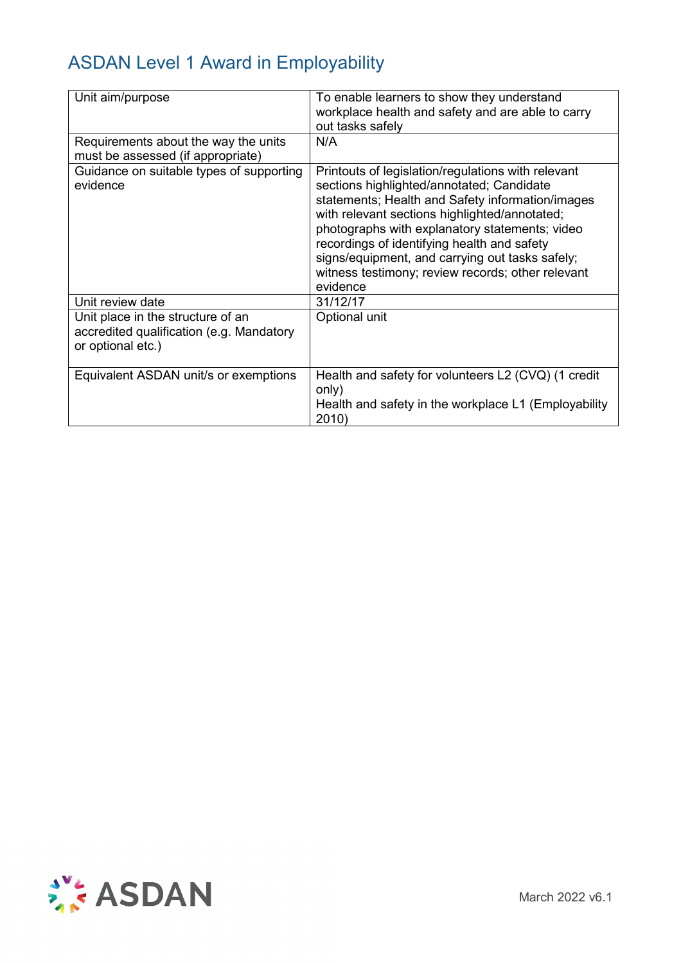| Unit aim/purpose                                                                                   | To enable learners to show they understand<br>workplace health and safety and are able to carry<br>out tasks safely                                                                                                                                                                                                                                                                                                       |
|----------------------------------------------------------------------------------------------------|---------------------------------------------------------------------------------------------------------------------------------------------------------------------------------------------------------------------------------------------------------------------------------------------------------------------------------------------------------------------------------------------------------------------------|
| Requirements about the way the units<br>must be assessed (if appropriate)                          | N/A                                                                                                                                                                                                                                                                                                                                                                                                                       |
| Guidance on suitable types of supporting<br>evidence                                               | Printouts of legislation/regulations with relevant<br>sections highlighted/annotated; Candidate<br>statements; Health and Safety information/images<br>with relevant sections highlighted/annotated;<br>photographs with explanatory statements; video<br>recordings of identifying health and safety<br>signs/equipment, and carrying out tasks safely;<br>witness testimony; review records; other relevant<br>evidence |
| Unit review date                                                                                   | 31/12/17                                                                                                                                                                                                                                                                                                                                                                                                                  |
| Unit place in the structure of an<br>accredited qualification (e.g. Mandatory<br>or optional etc.) | Optional unit                                                                                                                                                                                                                                                                                                                                                                                                             |
| Equivalent ASDAN unit/s or exemptions                                                              | Health and safety for volunteers L2 (CVQ) (1 credit<br>only)<br>Health and safety in the workplace L1 (Employability<br>2010)                                                                                                                                                                                                                                                                                             |

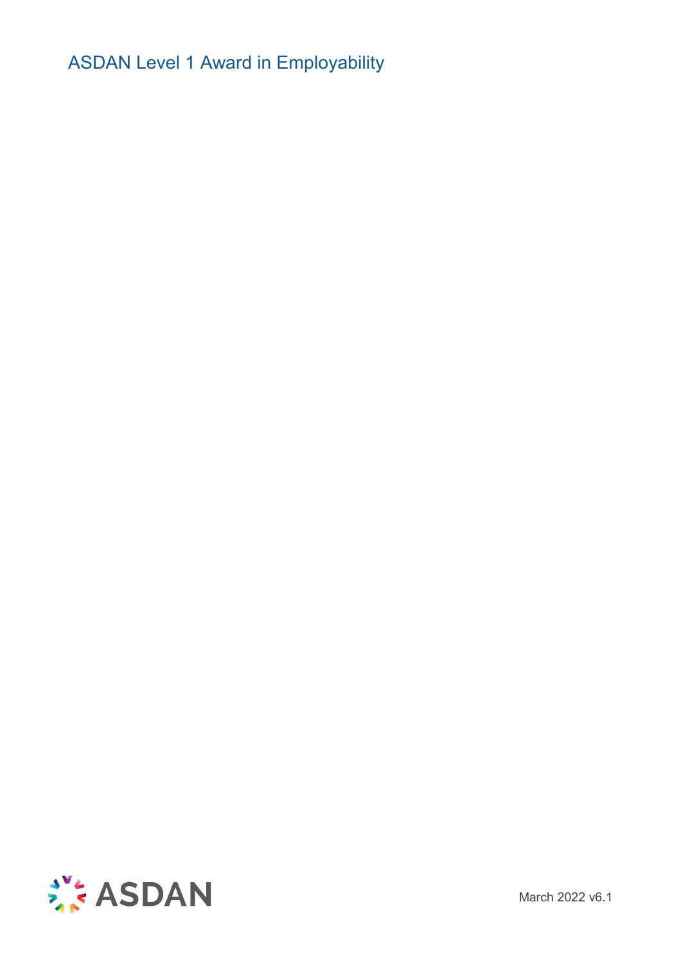

March 2022 v6.1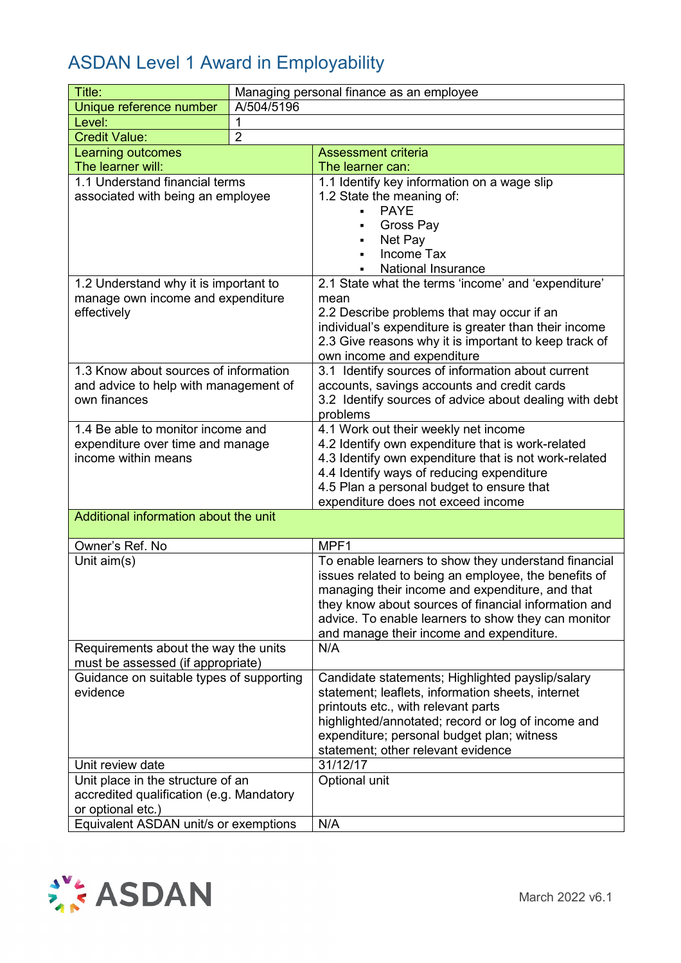| Title:                                   | Managing personal finance as an employee |                                                                                                  |  |
|------------------------------------------|------------------------------------------|--------------------------------------------------------------------------------------------------|--|
| Unique reference number                  | A/504/5196                               |                                                                                                  |  |
| Level:                                   | 1                                        |                                                                                                  |  |
| <b>Credit Value:</b>                     | $\overline{2}$                           |                                                                                                  |  |
| Learning outcomes                        |                                          | <b>Assessment criteria</b>                                                                       |  |
| The learner will:                        |                                          | The learner can:                                                                                 |  |
| 1.1 Understand financial terms           |                                          | 1.1 Identify key information on a wage slip                                                      |  |
| associated with being an employee        |                                          | 1.2 State the meaning of:                                                                        |  |
|                                          |                                          | <b>PAYE</b>                                                                                      |  |
|                                          |                                          | Gross Pay                                                                                        |  |
|                                          |                                          | Net Pay<br>٠                                                                                     |  |
|                                          |                                          | Income Tax                                                                                       |  |
|                                          |                                          | <b>National Insurance</b>                                                                        |  |
| 1.2 Understand why it is important to    |                                          | 2.1 State what the terms 'income' and 'expenditure'                                              |  |
| manage own income and expenditure        |                                          | mean                                                                                             |  |
| effectively                              |                                          | 2.2 Describe problems that may occur if an                                                       |  |
|                                          |                                          | individual's expenditure is greater than their income                                            |  |
|                                          |                                          | 2.3 Give reasons why it is important to keep track of                                            |  |
| 1.3 Know about sources of information    |                                          | own income and expenditure                                                                       |  |
| and advice to help with management of    |                                          | 3.1 Identify sources of information about current<br>accounts, savings accounts and credit cards |  |
| own finances                             |                                          | 3.2 Identify sources of advice about dealing with debt                                           |  |
|                                          |                                          | problems                                                                                         |  |
| 1.4 Be able to monitor income and        |                                          | 4.1 Work out their weekly net income                                                             |  |
| expenditure over time and manage         |                                          | 4.2 Identify own expenditure that is work-related                                                |  |
| income within means                      |                                          | 4.3 Identify own expenditure that is not work-related                                            |  |
|                                          |                                          | 4.4 Identify ways of reducing expenditure                                                        |  |
|                                          |                                          | 4.5 Plan a personal budget to ensure that                                                        |  |
|                                          |                                          | expenditure does not exceed income                                                               |  |
| Additional information about the unit    |                                          |                                                                                                  |  |
| Owner's Ref. No                          |                                          | MPF1                                                                                             |  |
| Unit aim(s)                              |                                          | To enable learners to show they understand financial                                             |  |
|                                          |                                          | issues related to being an employee, the benefits of                                             |  |
|                                          |                                          | managing their income and expenditure, and that                                                  |  |
|                                          |                                          | they know about sources of financial information and                                             |  |
|                                          |                                          | advice. To enable learners to show they can monitor                                              |  |
|                                          |                                          | and manage their income and expenditure.                                                         |  |
| Requirements about the way the units     |                                          | N/A                                                                                              |  |
| must be assessed (if appropriate)        |                                          |                                                                                                  |  |
| Guidance on suitable types of supporting |                                          | Candidate statements; Highlighted payslip/salary                                                 |  |
| evidence                                 |                                          | statement; leaflets, information sheets, internet                                                |  |
|                                          |                                          | printouts etc., with relevant parts                                                              |  |
|                                          |                                          | highlighted/annotated; record or log of income and<br>expenditure; personal budget plan; witness |  |
|                                          |                                          | statement; other relevant evidence                                                               |  |
| Unit review date                         |                                          | 31/12/17                                                                                         |  |
| Unit place in the structure of an        |                                          | Optional unit                                                                                    |  |
| accredited qualification (e.g. Mandatory |                                          |                                                                                                  |  |
| or optional etc.)                        |                                          |                                                                                                  |  |
| Equivalent ASDAN unit/s or exemptions    |                                          | N/A                                                                                              |  |
|                                          |                                          |                                                                                                  |  |

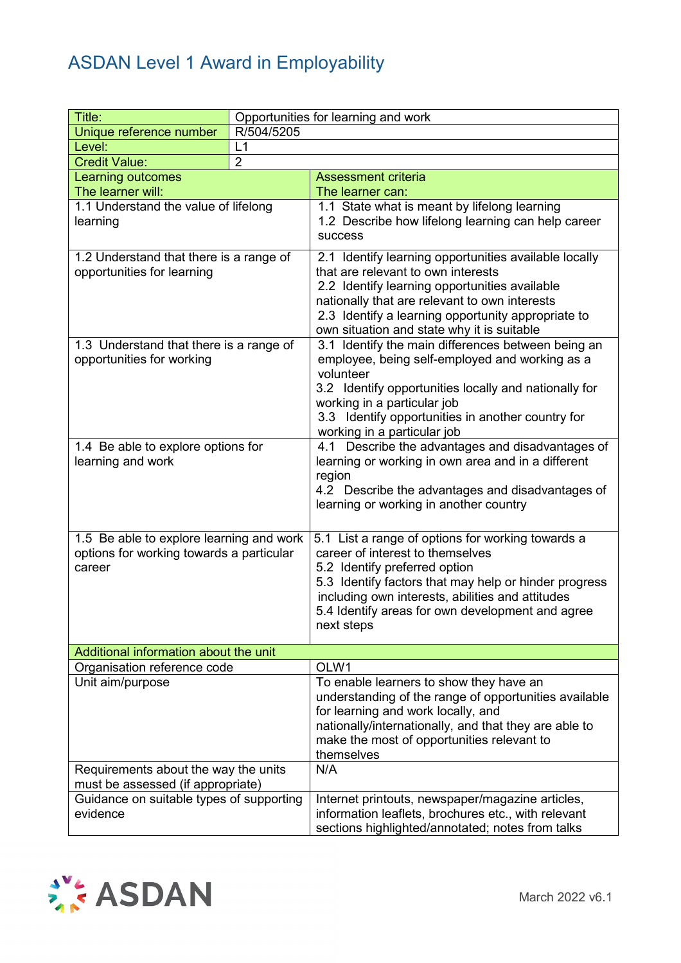| Title:                                                                                         | Opportunities for learning and work |                                                                                                                                                                                                                                                                                                       |  |
|------------------------------------------------------------------------------------------------|-------------------------------------|-------------------------------------------------------------------------------------------------------------------------------------------------------------------------------------------------------------------------------------------------------------------------------------------------------|--|
| Unique reference number                                                                        | R/504/5205                          |                                                                                                                                                                                                                                                                                                       |  |
| Level:                                                                                         | L1                                  |                                                                                                                                                                                                                                                                                                       |  |
| <b>Credit Value:</b>                                                                           | $\overline{2}$                      |                                                                                                                                                                                                                                                                                                       |  |
| <b>Learning outcomes</b>                                                                       |                                     | <b>Assessment criteria</b>                                                                                                                                                                                                                                                                            |  |
| The learner will:                                                                              |                                     | The learner can:                                                                                                                                                                                                                                                                                      |  |
| 1.1 Understand the value of lifelong<br>learning                                               |                                     | 1.1 State what is meant by lifelong learning<br>1.2 Describe how lifelong learning can help career<br>success                                                                                                                                                                                         |  |
| 1.2 Understand that there is a range of<br>opportunities for learning                          |                                     | 2.1 Identify learning opportunities available locally<br>that are relevant to own interests<br>2.2 Identify learning opportunities available<br>nationally that are relevant to own interests<br>2.3 Identify a learning opportunity appropriate to<br>own situation and state why it is suitable     |  |
| 1.3 Understand that there is a range of<br>opportunities for working                           |                                     | 3.1 Identify the main differences between being an<br>employee, being self-employed and working as a<br>volunteer<br>3.2 Identify opportunities locally and nationally for<br>working in a particular job<br>3.3 Identify opportunities in another country for<br>working in a particular job         |  |
| 1.4 Be able to explore options for<br>learning and work                                        |                                     | 4.1 Describe the advantages and disadvantages of<br>learning or working in own area and in a different<br>region<br>4.2 Describe the advantages and disadvantages of<br>learning or working in another country                                                                                        |  |
| 1.5 Be able to explore learning and work<br>options for working towards a particular<br>career |                                     | 5.1 List a range of options for working towards a<br>career of interest to themselves<br>5.2 Identify preferred option<br>5.3 Identify factors that may help or hinder progress<br>including own interests, abilities and attitudes<br>5.4 Identify areas for own development and agree<br>next steps |  |
| Additional information about the unit                                                          |                                     |                                                                                                                                                                                                                                                                                                       |  |
| Organisation reference code                                                                    |                                     | OLW1                                                                                                                                                                                                                                                                                                  |  |
| Unit aim/purpose                                                                               |                                     | To enable learners to show they have an<br>understanding of the range of opportunities available<br>for learning and work locally, and<br>nationally/internationally, and that they are able to<br>make the most of opportunities relevant to<br>themselves                                           |  |
| Requirements about the way the units                                                           |                                     | N/A                                                                                                                                                                                                                                                                                                   |  |
| must be assessed (if appropriate)<br>Guidance on suitable types of supporting                  |                                     |                                                                                                                                                                                                                                                                                                       |  |
| evidence                                                                                       |                                     | Internet printouts, newspaper/magazine articles,<br>information leaflets, brochures etc., with relevant<br>sections highlighted/annotated; notes from talks                                                                                                                                           |  |

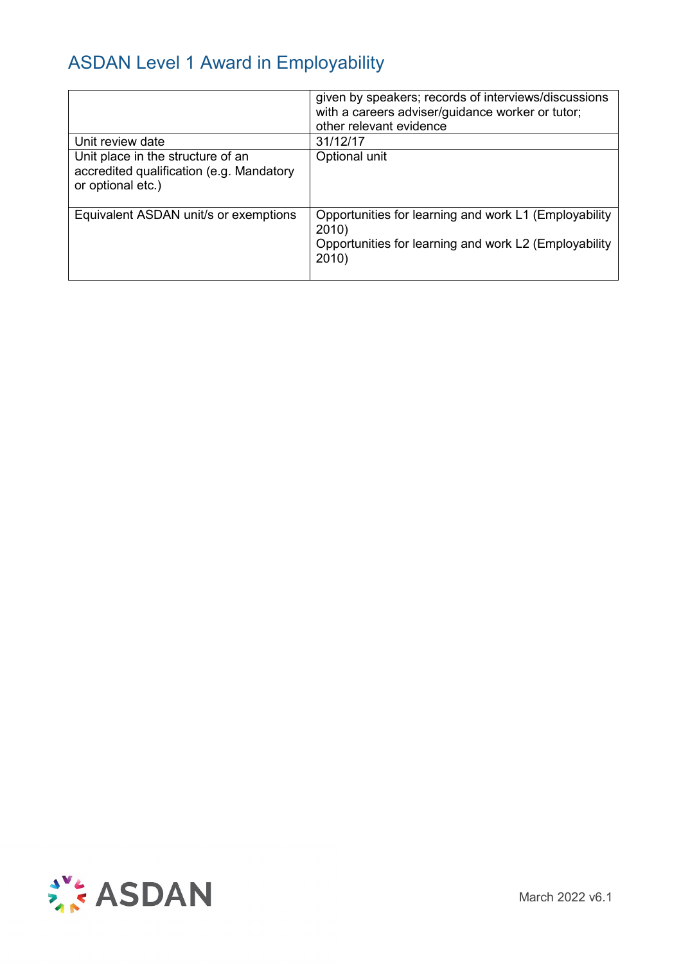|                                                                                                    | given by speakers; records of interviews/discussions<br>with a careers adviser/guidance worker or tutor;<br>other relevant evidence |
|----------------------------------------------------------------------------------------------------|-------------------------------------------------------------------------------------------------------------------------------------|
| Unit review date                                                                                   | 31/12/17                                                                                                                            |
| Unit place in the structure of an<br>accredited qualification (e.g. Mandatory<br>or optional etc.) | Optional unit                                                                                                                       |
| Equivalent ASDAN unit/s or exemptions                                                              | Opportunities for learning and work L1 (Employability<br>2010)<br>Opportunities for learning and work L2 (Employability<br>2010)    |

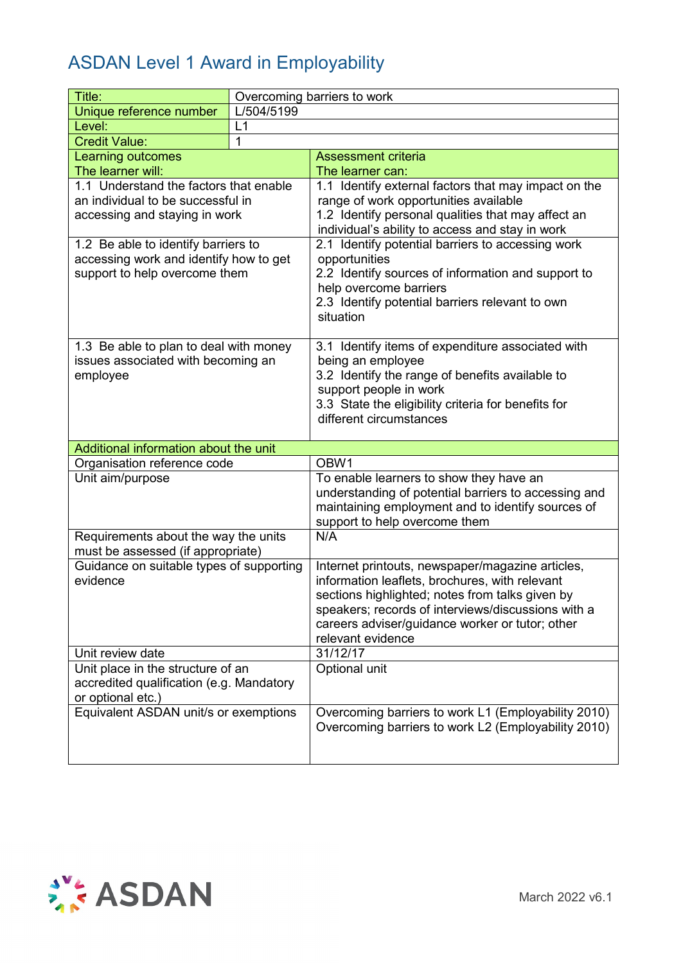| Title:                                                                                                         |             | Overcoming barriers to work                                                                                                                                                                                                                                                         |
|----------------------------------------------------------------------------------------------------------------|-------------|-------------------------------------------------------------------------------------------------------------------------------------------------------------------------------------------------------------------------------------------------------------------------------------|
| Unique reference number                                                                                        | L/504/5199  |                                                                                                                                                                                                                                                                                     |
| Level:                                                                                                         | L1          |                                                                                                                                                                                                                                                                                     |
| <b>Credit Value:</b>                                                                                           | $\mathbf 1$ |                                                                                                                                                                                                                                                                                     |
| Learning outcomes                                                                                              |             | <b>Assessment criteria</b>                                                                                                                                                                                                                                                          |
| The learner will:                                                                                              |             | The learner can:                                                                                                                                                                                                                                                                    |
| 1.1 Understand the factors that enable<br>an individual to be successful in<br>accessing and staying in work   |             | 1.1 Identify external factors that may impact on the<br>range of work opportunities available<br>1.2 Identify personal qualities that may affect an<br>individual's ability to access and stay in work                                                                              |
| 1.2 Be able to identify barriers to<br>accessing work and identify how to get<br>support to help overcome them |             | 2.1 Identify potential barriers to accessing work<br>opportunities<br>2.2 Identify sources of information and support to<br>help overcome barriers<br>2.3 Identify potential barriers relevant to own<br>situation                                                                  |
| 1.3 Be able to plan to deal with money<br>issues associated with becoming an<br>employee                       |             | 3.1 Identify items of expenditure associated with<br>being an employee<br>3.2 Identify the range of benefits available to<br>support people in work<br>3.3 State the eligibility criteria for benefits for<br>different circumstances                                               |
| Additional information about the unit                                                                          |             |                                                                                                                                                                                                                                                                                     |
| Organisation reference code                                                                                    |             | OBW1                                                                                                                                                                                                                                                                                |
| Unit aim/purpose                                                                                               |             | To enable learners to show they have an<br>understanding of potential barriers to accessing and<br>maintaining employment and to identify sources of<br>support to help overcome them                                                                                               |
| Requirements about the way the units<br>must be assessed (if appropriate)                                      |             | N/A                                                                                                                                                                                                                                                                                 |
| Guidance on suitable types of supporting<br>evidence                                                           |             | Internet printouts, newspaper/magazine articles,<br>information leaflets, brochures, with relevant<br>sections highlighted; notes from talks given by<br>speakers; records of interviews/discussions with a<br>careers adviser/guidance worker or tutor; other<br>relevant evidence |
| Unit review date                                                                                               |             | 31/12/17                                                                                                                                                                                                                                                                            |
| Unit place in the structure of an<br>accredited qualification (e.g. Mandatory<br>or optional etc.)             |             | Optional unit                                                                                                                                                                                                                                                                       |
| Equivalent ASDAN unit/s or exemptions                                                                          |             | Overcoming barriers to work L1 (Employability 2010)<br>Overcoming barriers to work L2 (Employability 2010)                                                                                                                                                                          |

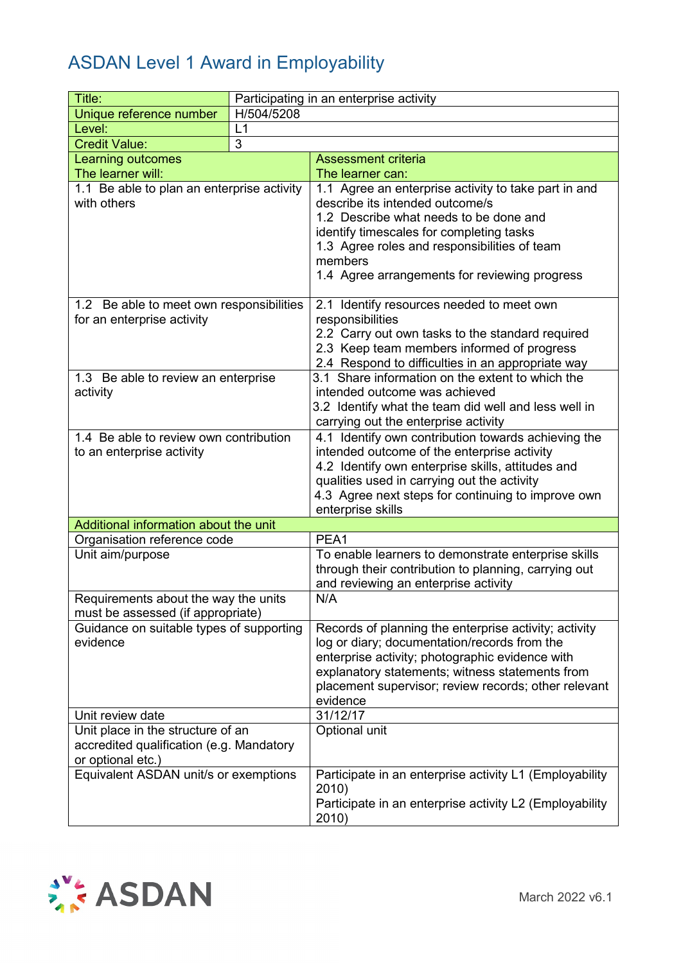| Title:                                     | Participating in an enterprise activity |                                                                                                    |
|--------------------------------------------|-----------------------------------------|----------------------------------------------------------------------------------------------------|
| Unique reference number                    | H/504/5208                              |                                                                                                    |
| Level:                                     | L1                                      |                                                                                                    |
| <b>Credit Value:</b>                       | 3                                       |                                                                                                    |
| <b>Learning outcomes</b>                   |                                         | <b>Assessment criteria</b>                                                                         |
| The learner will:                          |                                         | The learner can:                                                                                   |
| 1.1 Be able to plan an enterprise activity |                                         | 1.1 Agree an enterprise activity to take part in and                                               |
| with others                                |                                         | describe its intended outcome/s                                                                    |
|                                            |                                         | 1.2 Describe what needs to be done and                                                             |
|                                            |                                         | identify timescales for completing tasks                                                           |
|                                            |                                         | 1.3 Agree roles and responsibilities of team                                                       |
|                                            |                                         | members                                                                                            |
|                                            |                                         | 1.4 Agree arrangements for reviewing progress                                                      |
| 1.2 Be able to meet own responsibilities   |                                         | 2.1 Identify resources needed to meet own                                                          |
| for an enterprise activity                 |                                         | responsibilities                                                                                   |
|                                            |                                         | 2.2 Carry out own tasks to the standard required                                                   |
|                                            |                                         | 2.3 Keep team members informed of progress                                                         |
|                                            |                                         | 2.4 Respond to difficulties in an appropriate way                                                  |
| 1.3 Be able to review an enterprise        |                                         | 3.1 Share information on the extent to which the                                                   |
| activity                                   |                                         | intended outcome was achieved                                                                      |
|                                            |                                         | 3.2 Identify what the team did well and less well in                                               |
|                                            |                                         | carrying out the enterprise activity                                                               |
| 1.4 Be able to review own contribution     |                                         | 4.1 Identify own contribution towards achieving the                                                |
| to an enterprise activity                  |                                         | intended outcome of the enterprise activity                                                        |
|                                            |                                         | 4.2 Identify own enterprise skills, attitudes and                                                  |
|                                            |                                         | qualities used in carrying out the activity<br>4.3 Agree next steps for continuing to improve own  |
|                                            |                                         | enterprise skills                                                                                  |
| Additional information about the unit      |                                         |                                                                                                    |
| Organisation reference code                |                                         | PEA1                                                                                               |
| Unit aim/purpose                           |                                         | To enable learners to demonstrate enterprise skills                                                |
|                                            |                                         | through their contribution to planning, carrying out                                               |
|                                            |                                         | and reviewing an enterprise activity                                                               |
| Requirements about the way the units       |                                         | N/A                                                                                                |
| must be assessed (if appropriate)          |                                         |                                                                                                    |
| Guidance on suitable types of supporting   |                                         | Records of planning the enterprise activity; activity                                              |
| evidence                                   |                                         | log or diary; documentation/records from the                                                       |
|                                            |                                         | enterprise activity; photographic evidence with<br>explanatory statements; witness statements from |
|                                            |                                         | placement supervisor; review records; other relevant                                               |
|                                            |                                         | evidence                                                                                           |
| Unit review date                           |                                         | 31/12/17                                                                                           |
| Unit place in the structure of an          |                                         | Optional unit                                                                                      |
| accredited qualification (e.g. Mandatory   |                                         |                                                                                                    |
| or optional etc.)                          |                                         |                                                                                                    |
| Equivalent ASDAN unit/s or exemptions      |                                         | Participate in an enterprise activity L1 (Employability<br>2010)                                   |
|                                            |                                         | Participate in an enterprise activity L2 (Employability                                            |
|                                            |                                         | 2010)                                                                                              |

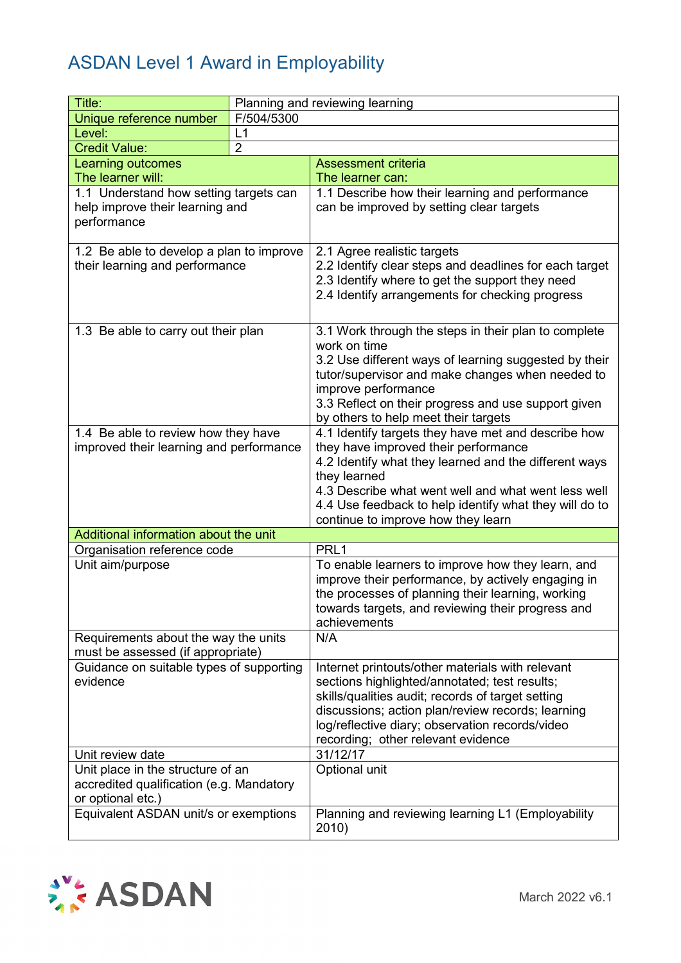| Title:                                                                                             |                | Planning and reviewing learning                                                                                                                                                                                                                                                                         |
|----------------------------------------------------------------------------------------------------|----------------|---------------------------------------------------------------------------------------------------------------------------------------------------------------------------------------------------------------------------------------------------------------------------------------------------------|
| Unique reference number                                                                            | F/504/5300     |                                                                                                                                                                                                                                                                                                         |
| Level:                                                                                             | L1             |                                                                                                                                                                                                                                                                                                         |
| <b>Credit Value:</b>                                                                               | $\overline{2}$ |                                                                                                                                                                                                                                                                                                         |
| <b>Learning outcomes</b>                                                                           |                | <b>Assessment criteria</b>                                                                                                                                                                                                                                                                              |
| The learner will:                                                                                  |                | The learner can:                                                                                                                                                                                                                                                                                        |
| 1.1 Understand how setting targets can<br>help improve their learning and<br>performance           |                | 1.1 Describe how their learning and performance<br>can be improved by setting clear targets                                                                                                                                                                                                             |
| 1.2 Be able to develop a plan to improve<br>their learning and performance                         |                | 2.1 Agree realistic targets<br>2.2 Identify clear steps and deadlines for each target<br>2.3 Identify where to get the support they need<br>2.4 Identify arrangements for checking progress                                                                                                             |
| 1.3 Be able to carry out their plan                                                                |                | 3.1 Work through the steps in their plan to complete<br>work on time<br>3.2 Use different ways of learning suggested by their<br>tutor/supervisor and make changes when needed to<br>improve performance<br>3.3 Reflect on their progress and use support given<br>by others to help meet their targets |
| 1.4 Be able to review how they have                                                                |                | 4.1 Identify targets they have met and describe how                                                                                                                                                                                                                                                     |
| improved their learning and performance                                                            |                | they have improved their performance<br>4.2 Identify what they learned and the different ways<br>they learned<br>4.3 Describe what went well and what went less well<br>4.4 Use feedback to help identify what they will do to<br>continue to improve how they learn                                    |
| Additional information about the unit                                                              |                |                                                                                                                                                                                                                                                                                                         |
| Organisation reference code                                                                        |                | PRL <sub>1</sub>                                                                                                                                                                                                                                                                                        |
| Unit aim/purpose                                                                                   |                | To enable learners to improve how they learn, and<br>improve their performance, by actively engaging in<br>the processes of planning their learning, working<br>towards targets, and reviewing their progress and<br>achievements                                                                       |
| Requirements about the way the units<br>must be assessed (if appropriate)                          |                | N/A                                                                                                                                                                                                                                                                                                     |
| Guidance on suitable types of supporting<br>evidence                                               |                | Internet printouts/other materials with relevant<br>sections highlighted/annotated; test results;<br>skills/qualities audit; records of target setting<br>discussions; action plan/review records; learning<br>log/reflective diary; observation records/video<br>recording; other relevant evidence    |
| Unit review date                                                                                   |                | 31/12/17                                                                                                                                                                                                                                                                                                |
| Unit place in the structure of an<br>accredited qualification (e.g. Mandatory<br>or optional etc.) |                | Optional unit                                                                                                                                                                                                                                                                                           |
| Equivalent ASDAN unit/s or exemptions                                                              |                | Planning and reviewing learning L1 (Employability<br>2010)                                                                                                                                                                                                                                              |

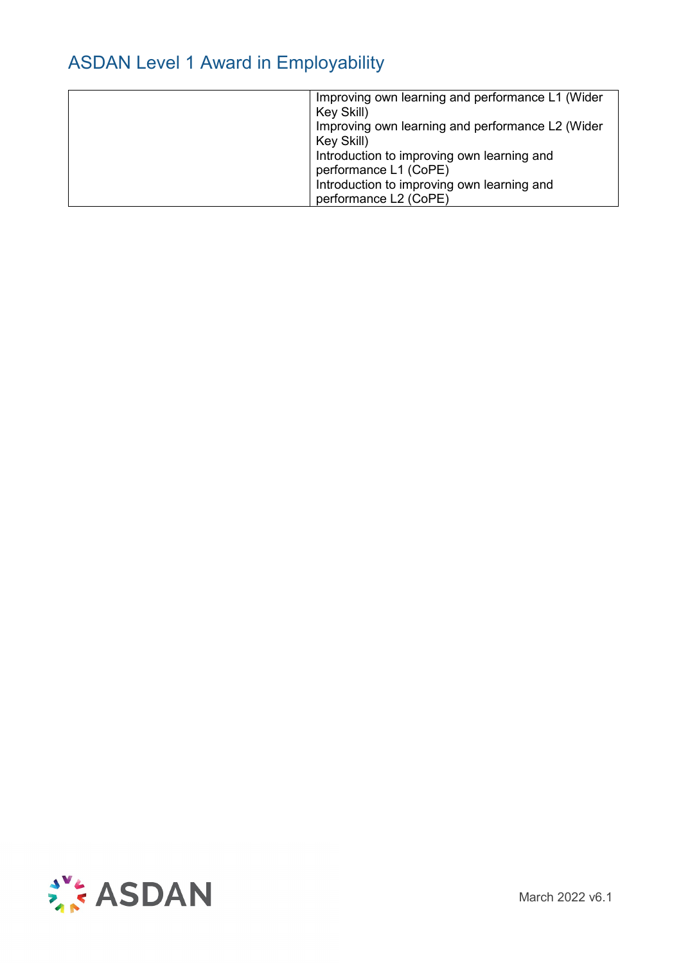| Key Skill)<br>Key Skill) | Improving own learning and performance L1 (Wider<br>Improving own learning and performance L2 (Wider<br>Introduction to improving own learning and<br>performance L1 (CoPE)<br>Introduction to improving own learning and<br>performance L2 (CoPE) |
|--------------------------|----------------------------------------------------------------------------------------------------------------------------------------------------------------------------------------------------------------------------------------------------|
|--------------------------|----------------------------------------------------------------------------------------------------------------------------------------------------------------------------------------------------------------------------------------------------|



March 2022 v6.1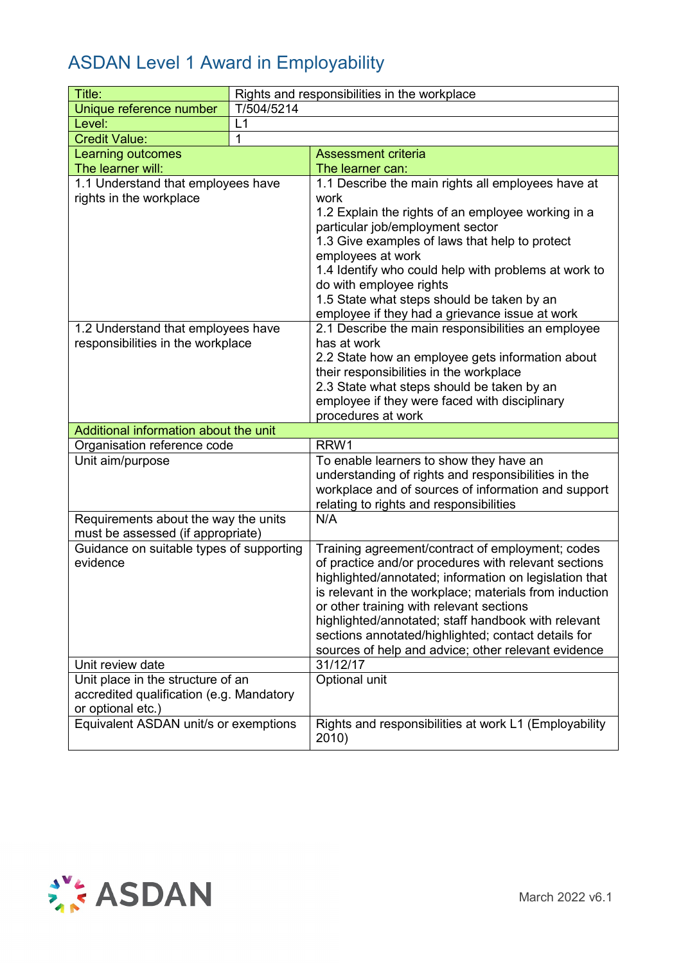| Title:                                                                        | Rights and responsibilities in the workplace |                                                                           |  |
|-------------------------------------------------------------------------------|----------------------------------------------|---------------------------------------------------------------------------|--|
| Unique reference number                                                       | T/504/5214                                   |                                                                           |  |
| Level:                                                                        | L1                                           |                                                                           |  |
| <b>Credit Value:</b>                                                          | 1                                            |                                                                           |  |
| Learning outcomes                                                             |                                              | <b>Assessment criteria</b>                                                |  |
| The learner will:                                                             |                                              | The learner can:                                                          |  |
| 1.1 Understand that employees have                                            |                                              | 1.1 Describe the main rights all employees have at                        |  |
| rights in the workplace                                                       |                                              | work                                                                      |  |
|                                                                               |                                              | 1.2 Explain the rights of an employee working in a                        |  |
|                                                                               |                                              | particular job/employment sector                                          |  |
|                                                                               |                                              | 1.3 Give examples of laws that help to protect                            |  |
|                                                                               |                                              | employees at work<br>1.4 Identify who could help with problems at work to |  |
|                                                                               |                                              | do with employee rights                                                   |  |
|                                                                               |                                              | 1.5 State what steps should be taken by an                                |  |
|                                                                               |                                              | employee if they had a grievance issue at work                            |  |
| 1.2 Understand that employees have                                            |                                              | 2.1 Describe the main responsibilities an employee                        |  |
| responsibilities in the workplace                                             |                                              | has at work                                                               |  |
|                                                                               |                                              | 2.2 State how an employee gets information about                          |  |
|                                                                               |                                              | their responsibilities in the workplace                                   |  |
|                                                                               |                                              | 2.3 State what steps should be taken by an                                |  |
|                                                                               |                                              | employee if they were faced with disciplinary                             |  |
|                                                                               |                                              | procedures at work                                                        |  |
| Additional information about the unit                                         |                                              |                                                                           |  |
| Organisation reference code                                                   |                                              | RRW1                                                                      |  |
| Unit aim/purpose                                                              |                                              | To enable learners to show they have an                                   |  |
|                                                                               |                                              | understanding of rights and responsibilities in the                       |  |
|                                                                               |                                              | workplace and of sources of information and support                       |  |
|                                                                               |                                              | relating to rights and responsibilities                                   |  |
| Requirements about the way the units                                          |                                              | N/A                                                                       |  |
| must be assessed (if appropriate)<br>Guidance on suitable types of supporting |                                              | Training agreement/contract of employment; codes                          |  |
| evidence                                                                      |                                              | of practice and/or procedures with relevant sections                      |  |
|                                                                               |                                              | highlighted/annotated; information on legislation that                    |  |
|                                                                               |                                              | is relevant in the workplace; materials from induction                    |  |
|                                                                               |                                              | or other training with relevant sections                                  |  |
|                                                                               |                                              | highlighted/annotated; staff handbook with relevant                       |  |
|                                                                               |                                              | sections annotated/highlighted; contact details for                       |  |
|                                                                               |                                              | sources of help and advice; other relevant evidence                       |  |
| Unit review date                                                              |                                              | 31/12/17                                                                  |  |
| Unit place in the structure of an                                             |                                              | Optional unit                                                             |  |
| accredited qualification (e.g. Mandatory                                      |                                              |                                                                           |  |
| or optional etc.)                                                             |                                              |                                                                           |  |
| Equivalent ASDAN unit/s or exemptions                                         |                                              | Rights and responsibilities at work L1 (Employability                     |  |
|                                                                               |                                              | 2010)                                                                     |  |

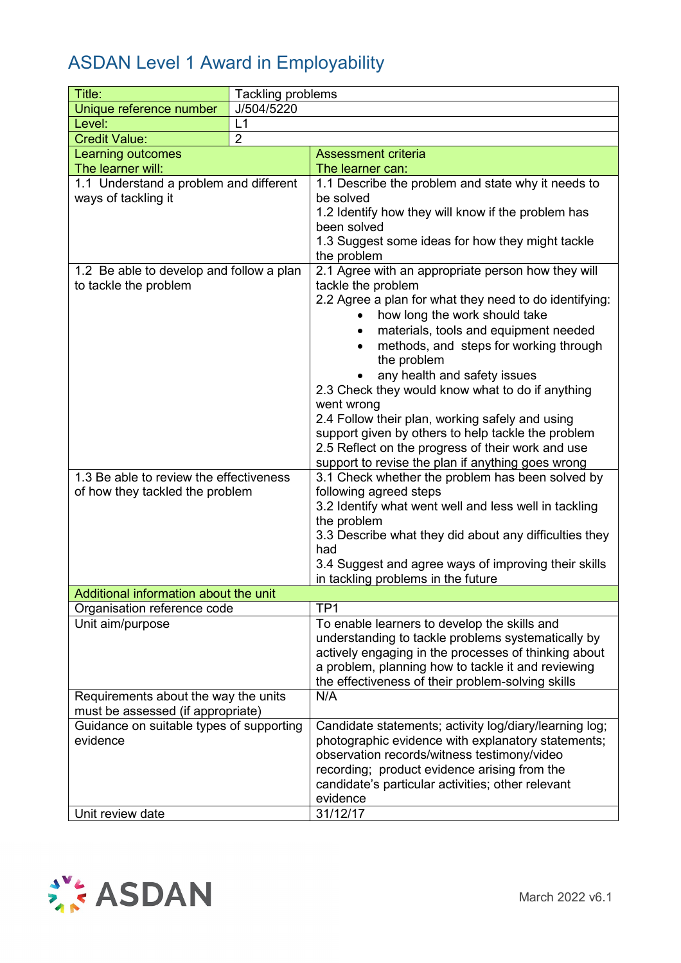| Title:                                                                        | <b>Tackling problems</b> |                                                          |  |
|-------------------------------------------------------------------------------|--------------------------|----------------------------------------------------------|--|
| Unique reference number                                                       | J/504/5220               |                                                          |  |
| Level:                                                                        | L1                       |                                                          |  |
| <b>Credit Value:</b>                                                          | $\overline{2}$           |                                                          |  |
| Learning outcomes                                                             |                          | <b>Assessment criteria</b>                               |  |
| The learner will:                                                             |                          | The learner can:                                         |  |
| 1.1 Understand a problem and different                                        |                          | 1.1 Describe the problem and state why it needs to       |  |
| ways of tackling it                                                           |                          | be solved                                                |  |
|                                                                               |                          | 1.2 Identify how they will know if the problem has       |  |
|                                                                               |                          | been solved                                              |  |
|                                                                               |                          | 1.3 Suggest some ideas for how they might tackle         |  |
|                                                                               |                          | the problem                                              |  |
| 1.2 Be able to develop and follow a plan                                      |                          | 2.1 Agree with an appropriate person how they will       |  |
| to tackle the problem                                                         |                          | tackle the problem                                       |  |
|                                                                               |                          | 2.2 Agree a plan for what they need to do identifying:   |  |
|                                                                               |                          | how long the work should take                            |  |
|                                                                               |                          | materials, tools and equipment needed<br>$\bullet$       |  |
|                                                                               |                          | methods, and steps for working through                   |  |
|                                                                               |                          | the problem                                              |  |
|                                                                               |                          | any health and safety issues                             |  |
|                                                                               |                          | 2.3 Check they would know what to do if anything         |  |
|                                                                               |                          | went wrong                                               |  |
|                                                                               |                          | 2.4 Follow their plan, working safely and using          |  |
|                                                                               |                          | support given by others to help tackle the problem       |  |
|                                                                               |                          | 2.5 Reflect on the progress of their work and use        |  |
|                                                                               |                          | support to revise the plan if anything goes wrong        |  |
| 1.3 Be able to review the effectiveness                                       |                          | 3.1 Check whether the problem has been solved by         |  |
| of how they tackled the problem                                               |                          | following agreed steps                                   |  |
|                                                                               |                          | 3.2 Identify what went well and less well in tackling    |  |
|                                                                               |                          | the problem                                              |  |
|                                                                               |                          | 3.3 Describe what they did about any difficulties they   |  |
|                                                                               |                          | had                                                      |  |
|                                                                               |                          | 3.4 Suggest and agree ways of improving their skills     |  |
|                                                                               |                          | in tackling problems in the future                       |  |
| Additional information about the unit                                         |                          |                                                          |  |
| Organisation reference code                                                   |                          | TP <sub>1</sub>                                          |  |
| Unit aim/purpose                                                              |                          | To enable learners to develop the skills and             |  |
|                                                                               |                          | understanding to tackle problems systematically by       |  |
|                                                                               |                          | actively engaging in the processes of thinking about     |  |
|                                                                               |                          | a problem, planning how to tackle it and reviewing       |  |
|                                                                               |                          | the effectiveness of their problem-solving skills<br>N/A |  |
| Requirements about the way the units                                          |                          |                                                          |  |
| must be assessed (if appropriate)<br>Guidance on suitable types of supporting |                          | Candidate statements; activity log/diary/learning log;   |  |
| evidence                                                                      |                          | photographic evidence with explanatory statements;       |  |
|                                                                               |                          | observation records/witness testimony/video              |  |
|                                                                               |                          | recording; product evidence arising from the             |  |
|                                                                               |                          | candidate's particular activities; other relevant        |  |
|                                                                               |                          | evidence                                                 |  |
| Unit review date                                                              |                          | 31/12/17                                                 |  |

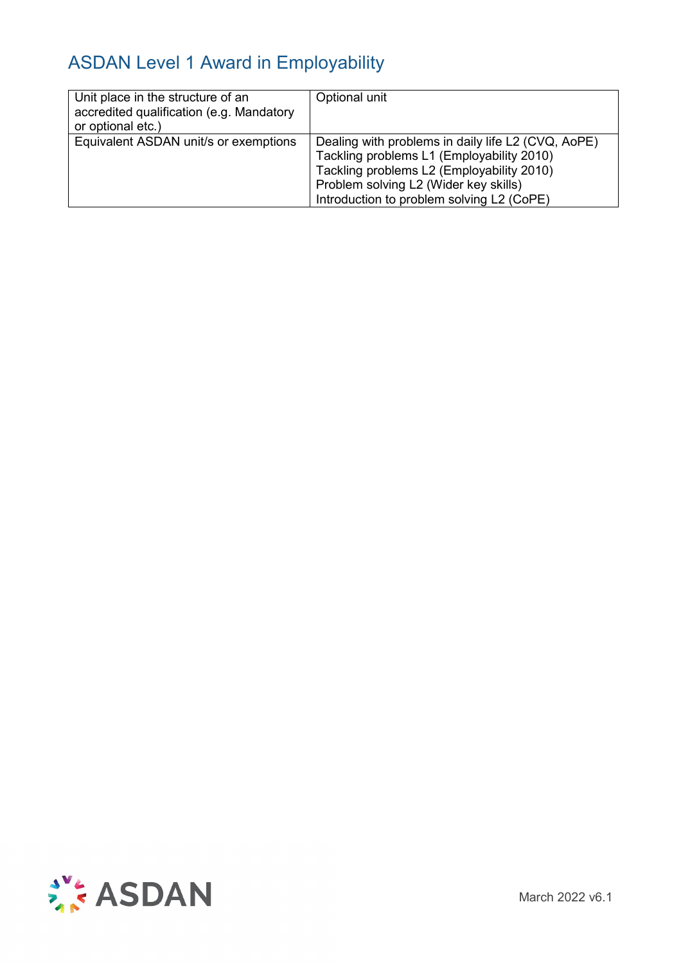| Unit place in the structure of an<br>accredited qualification (e.g. Mandatory<br>or optional etc.) | Optional unit                                                                                                                                                                                                                      |
|----------------------------------------------------------------------------------------------------|------------------------------------------------------------------------------------------------------------------------------------------------------------------------------------------------------------------------------------|
| Equivalent ASDAN unit/s or exemptions                                                              | Dealing with problems in daily life L2 (CVQ, AoPE)<br>Tackling problems L1 (Employability 2010)<br>Tackling problems L2 (Employability 2010)<br>Problem solving L2 (Wider key skills)<br>Introduction to problem solving L2 (CoPE) |

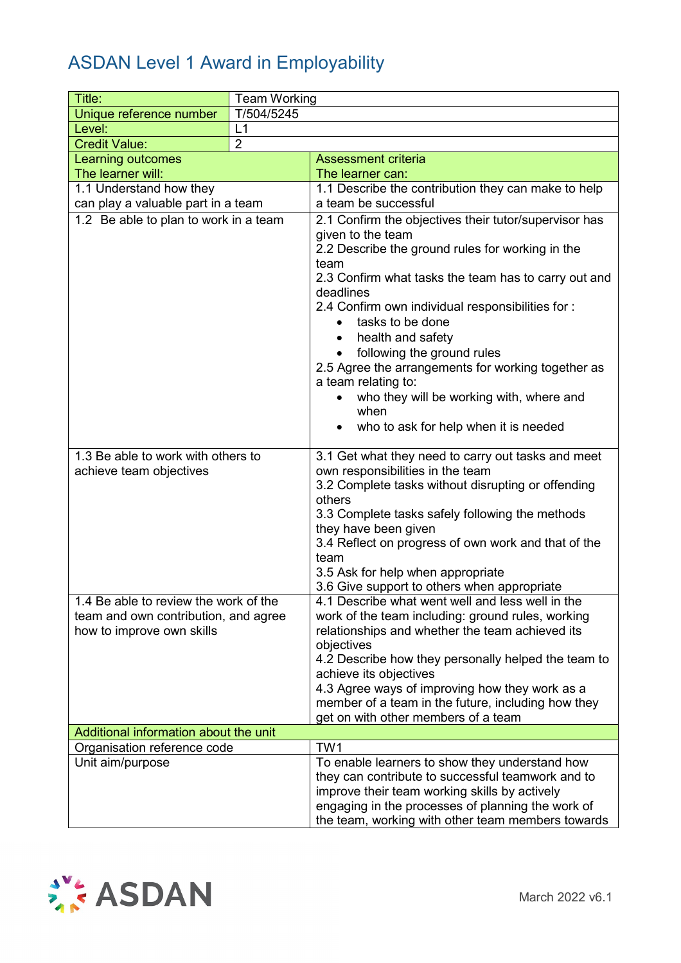| Title:                                                                                                     | <b>Team Working</b> |                                                                                                                                                                                                                                                                                                                                                                                                                                  |  |
|------------------------------------------------------------------------------------------------------------|---------------------|----------------------------------------------------------------------------------------------------------------------------------------------------------------------------------------------------------------------------------------------------------------------------------------------------------------------------------------------------------------------------------------------------------------------------------|--|
| Unique reference number                                                                                    | T/504/5245          |                                                                                                                                                                                                                                                                                                                                                                                                                                  |  |
| Level:                                                                                                     | L1                  |                                                                                                                                                                                                                                                                                                                                                                                                                                  |  |
| <b>Credit Value:</b>                                                                                       | $\overline{2}$      |                                                                                                                                                                                                                                                                                                                                                                                                                                  |  |
| Learning outcomes                                                                                          |                     | <b>Assessment criteria</b>                                                                                                                                                                                                                                                                                                                                                                                                       |  |
| The learner will:                                                                                          |                     | The learner can:                                                                                                                                                                                                                                                                                                                                                                                                                 |  |
| 1.1 Understand how they                                                                                    |                     | 1.1 Describe the contribution they can make to help                                                                                                                                                                                                                                                                                                                                                                              |  |
| can play a valuable part in a team                                                                         |                     | a team be successful                                                                                                                                                                                                                                                                                                                                                                                                             |  |
| 1.2 Be able to plan to work in a team                                                                      |                     | 2.1 Confirm the objectives their tutor/supervisor has<br>given to the team<br>2.2 Describe the ground rules for working in the<br>team<br>2.3 Confirm what tasks the team has to carry out and<br>deadlines<br>2.4 Confirm own individual responsibilities for:<br>tasks to be done<br>health and safety<br>following the ground rules<br>$\bullet$<br>2.5 Agree the arrangements for working together as<br>a team relating to: |  |
|                                                                                                            |                     | who they will be working with, where and<br>when<br>who to ask for help when it is needed                                                                                                                                                                                                                                                                                                                                        |  |
| 1.3 Be able to work with others to<br>achieve team objectives                                              |                     | 3.1 Get what they need to carry out tasks and meet<br>own responsibilities in the team<br>3.2 Complete tasks without disrupting or offending<br>others<br>3.3 Complete tasks safely following the methods<br>they have been given<br>3.4 Reflect on progress of own work and that of the<br>team<br>3.5 Ask for help when appropriate<br>3.6 Give support to others when appropriate                                             |  |
| 1.4 Be able to review the work of the<br>team and own contribution, and agree<br>how to improve own skills |                     | 4.1 Describe what went well and less well in the<br>work of the team including: ground rules, working<br>relationships and whether the team achieved its<br>objectives<br>4.2 Describe how they personally helped the team to<br>achieve its objectives<br>4.3 Agree ways of improving how they work as a<br>member of a team in the future, including how they<br>get on with other members of a team                           |  |
| Additional information about the unit                                                                      |                     |                                                                                                                                                                                                                                                                                                                                                                                                                                  |  |
| Organisation reference code                                                                                |                     | TW1                                                                                                                                                                                                                                                                                                                                                                                                                              |  |
| Unit aim/purpose                                                                                           |                     | To enable learners to show they understand how<br>they can contribute to successful teamwork and to<br>improve their team working skills by actively<br>engaging in the processes of planning the work of<br>the team, working with other team members towards                                                                                                                                                                   |  |

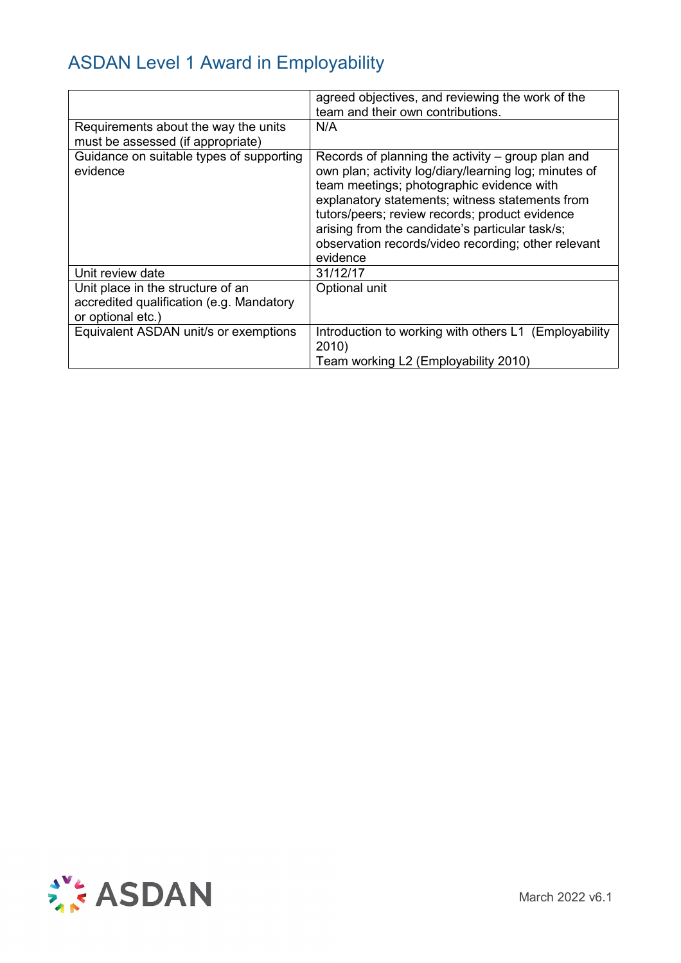|                                                                                                    | agreed objectives, and reviewing the work of the<br>team and their own contributions.                                                                                                                                                                                                                                                                                              |
|----------------------------------------------------------------------------------------------------|------------------------------------------------------------------------------------------------------------------------------------------------------------------------------------------------------------------------------------------------------------------------------------------------------------------------------------------------------------------------------------|
| Requirements about the way the units<br>must be assessed (if appropriate)                          | N/A                                                                                                                                                                                                                                                                                                                                                                                |
| Guidance on suitable types of supporting<br>evidence                                               | Records of planning the activity – group plan and<br>own plan; activity log/diary/learning log; minutes of<br>team meetings; photographic evidence with<br>explanatory statements; witness statements from<br>tutors/peers; review records; product evidence<br>arising from the candidate's particular task/s;<br>observation records/video recording; other relevant<br>evidence |
| Unit review date                                                                                   | 31/12/17                                                                                                                                                                                                                                                                                                                                                                           |
| Unit place in the structure of an<br>accredited qualification (e.g. Mandatory<br>or optional etc.) | Optional unit                                                                                                                                                                                                                                                                                                                                                                      |
| Equivalent ASDAN unit/s or exemptions                                                              | Introduction to working with others L1 (Employability<br>2010)<br>Team working L2 (Employability 2010)                                                                                                                                                                                                                                                                             |

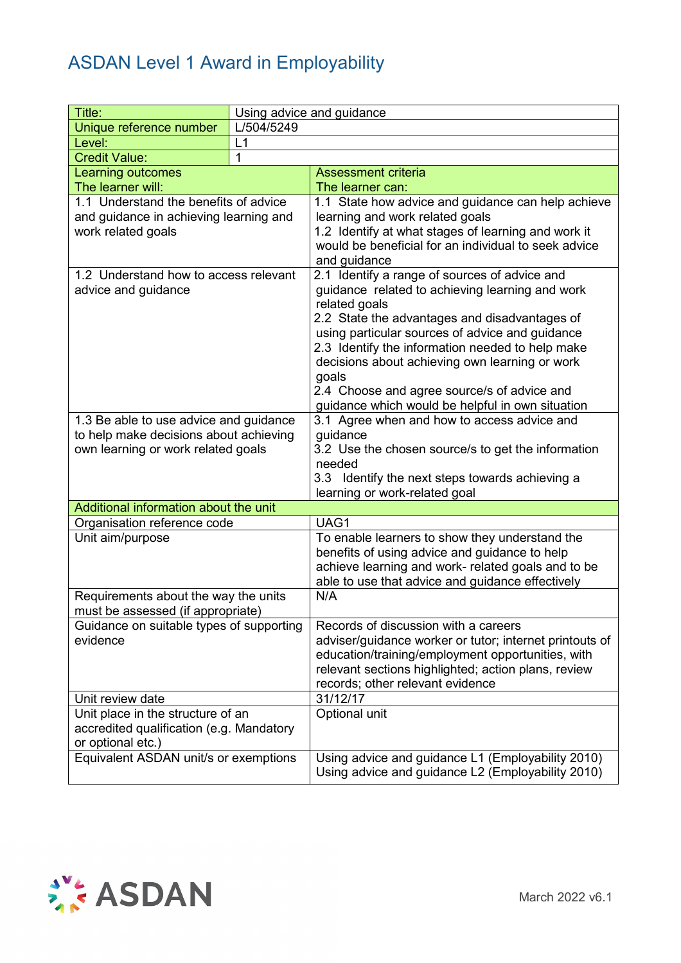| Title:                                                                                                                 | Using advice and guidance |                                                                                                                                                                                                                                                                                                                                                                                                                                         |  |
|------------------------------------------------------------------------------------------------------------------------|---------------------------|-----------------------------------------------------------------------------------------------------------------------------------------------------------------------------------------------------------------------------------------------------------------------------------------------------------------------------------------------------------------------------------------------------------------------------------------|--|
| Unique reference number                                                                                                | L/504/5249                |                                                                                                                                                                                                                                                                                                                                                                                                                                         |  |
| Level:                                                                                                                 | L1                        |                                                                                                                                                                                                                                                                                                                                                                                                                                         |  |
| <b>Credit Value:</b>                                                                                                   | 1                         |                                                                                                                                                                                                                                                                                                                                                                                                                                         |  |
| <b>Learning outcomes</b>                                                                                               |                           | <b>Assessment criteria</b>                                                                                                                                                                                                                                                                                                                                                                                                              |  |
| The learner will:                                                                                                      |                           | The learner can:                                                                                                                                                                                                                                                                                                                                                                                                                        |  |
| 1.1 Understand the benefits of advice<br>and guidance in achieving learning and<br>work related goals                  |                           | 1.1 State how advice and guidance can help achieve<br>learning and work related goals<br>1.2 Identify at what stages of learning and work it<br>would be beneficial for an individual to seek advice<br>and guidance                                                                                                                                                                                                                    |  |
| 1.2 Understand how to access relevant<br>advice and guidance                                                           |                           | 2.1 Identify a range of sources of advice and<br>guidance related to achieving learning and work<br>related goals<br>2.2 State the advantages and disadvantages of<br>using particular sources of advice and guidance<br>2.3 Identify the information needed to help make<br>decisions about achieving own learning or work<br>goals<br>2.4 Choose and agree source/s of advice and<br>guidance which would be helpful in own situation |  |
| 1.3 Be able to use advice and guidance<br>to help make decisions about achieving<br>own learning or work related goals |                           | 3.1 Agree when and how to access advice and<br>guidance<br>3.2 Use the chosen source/s to get the information<br>needed<br>3.3 Identify the next steps towards achieving a<br>learning or work-related goal                                                                                                                                                                                                                             |  |
| Additional information about the unit                                                                                  |                           |                                                                                                                                                                                                                                                                                                                                                                                                                                         |  |
| Organisation reference code                                                                                            |                           | UAG1                                                                                                                                                                                                                                                                                                                                                                                                                                    |  |
| Unit aim/purpose                                                                                                       |                           | To enable learners to show they understand the<br>benefits of using advice and guidance to help<br>achieve learning and work- related goals and to be<br>able to use that advice and guidance effectively                                                                                                                                                                                                                               |  |
| Requirements about the way the units<br>must be assessed (if appropriate)                                              |                           | N/A                                                                                                                                                                                                                                                                                                                                                                                                                                     |  |
| Guidance on suitable types of supporting<br>evidence                                                                   |                           | Records of discussion with a careers<br>adviser/guidance worker or tutor; internet printouts of<br>education/training/employment opportunities, with<br>relevant sections highlighted; action plans, review<br>records; other relevant evidence                                                                                                                                                                                         |  |
| Unit review date                                                                                                       |                           | 31/12/17                                                                                                                                                                                                                                                                                                                                                                                                                                |  |
| Unit place in the structure of an<br>accredited qualification (e.g. Mandatory<br>or optional etc.)                     |                           | Optional unit                                                                                                                                                                                                                                                                                                                                                                                                                           |  |
| Equivalent ASDAN unit/s or exemptions                                                                                  |                           | Using advice and guidance L1 (Employability 2010)<br>Using advice and guidance L2 (Employability 2010)                                                                                                                                                                                                                                                                                                                                  |  |

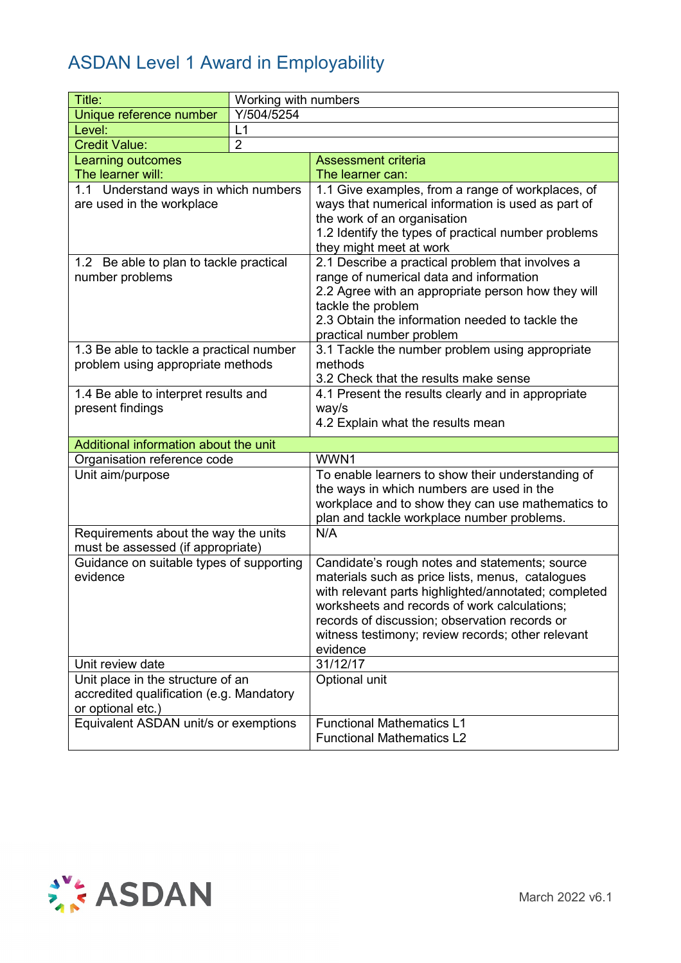| Title:                                               | Working with numbers |                                                                                                    |  |
|------------------------------------------------------|----------------------|----------------------------------------------------------------------------------------------------|--|
| Unique reference number                              | Y/504/5254           |                                                                                                    |  |
| Level:                                               | L1                   |                                                                                                    |  |
| <b>Credit Value:</b>                                 | $\overline{2}$       |                                                                                                    |  |
| Learning outcomes                                    |                      | <b>Assessment criteria</b>                                                                         |  |
| The learner will:                                    |                      | The learner can:                                                                                   |  |
| 1.1 Understand ways in which numbers                 |                      | 1.1 Give examples, from a range of workplaces, of                                                  |  |
| are used in the workplace                            |                      | ways that numerical information is used as part of                                                 |  |
|                                                      |                      | the work of an organisation                                                                        |  |
|                                                      |                      | 1.2 Identify the types of practical number problems<br>they might meet at work                     |  |
| 1.2 Be able to plan to tackle practical              |                      | 2.1 Describe a practical problem that involves a                                                   |  |
| number problems                                      |                      | range of numerical data and information                                                            |  |
|                                                      |                      | 2.2 Agree with an appropriate person how they will<br>tackle the problem                           |  |
|                                                      |                      | 2.3 Obtain the information needed to tackle the                                                    |  |
|                                                      |                      | practical number problem                                                                           |  |
| 1.3 Be able to tackle a practical number             |                      | 3.1 Tackle the number problem using appropriate                                                    |  |
| problem using appropriate methods                    |                      | methods                                                                                            |  |
|                                                      |                      | 3.2 Check that the results make sense                                                              |  |
| 1.4 Be able to interpret results and                 |                      | 4.1 Present the results clearly and in appropriate                                                 |  |
| present findings                                     |                      | way/s                                                                                              |  |
|                                                      |                      | 4.2 Explain what the results mean                                                                  |  |
| Additional information about the unit                |                      |                                                                                                    |  |
| Organisation reference code                          |                      | WWN1                                                                                               |  |
| Unit aim/purpose                                     |                      | To enable learners to show their understanding of                                                  |  |
|                                                      |                      | the ways in which numbers are used in the                                                          |  |
|                                                      |                      | workplace and to show they can use mathematics to                                                  |  |
|                                                      |                      | plan and tackle workplace number problems.                                                         |  |
| Requirements about the way the units                 |                      | N/A                                                                                                |  |
| must be assessed (if appropriate)                    |                      |                                                                                                    |  |
| Guidance on suitable types of supporting<br>evidence |                      | Candidate's rough notes and statements; source<br>materials such as price lists, menus, catalogues |  |
|                                                      |                      | with relevant parts highlighted/annotated; completed                                               |  |
|                                                      |                      | worksheets and records of work calculations;                                                       |  |
|                                                      |                      | records of discussion; observation records or                                                      |  |
|                                                      |                      | witness testimony; review records; other relevant                                                  |  |
|                                                      |                      | evidence                                                                                           |  |
| Unit review date                                     |                      | 31/12/17                                                                                           |  |
| Unit place in the structure of an                    |                      | Optional unit                                                                                      |  |
| accredited qualification (e.g. Mandatory             |                      |                                                                                                    |  |
| or optional etc.)                                    |                      |                                                                                                    |  |
| Equivalent ASDAN unit/s or exemptions                |                      | <b>Functional Mathematics L1</b>                                                                   |  |
|                                                      |                      | <b>Functional Mathematics L2</b>                                                                   |  |

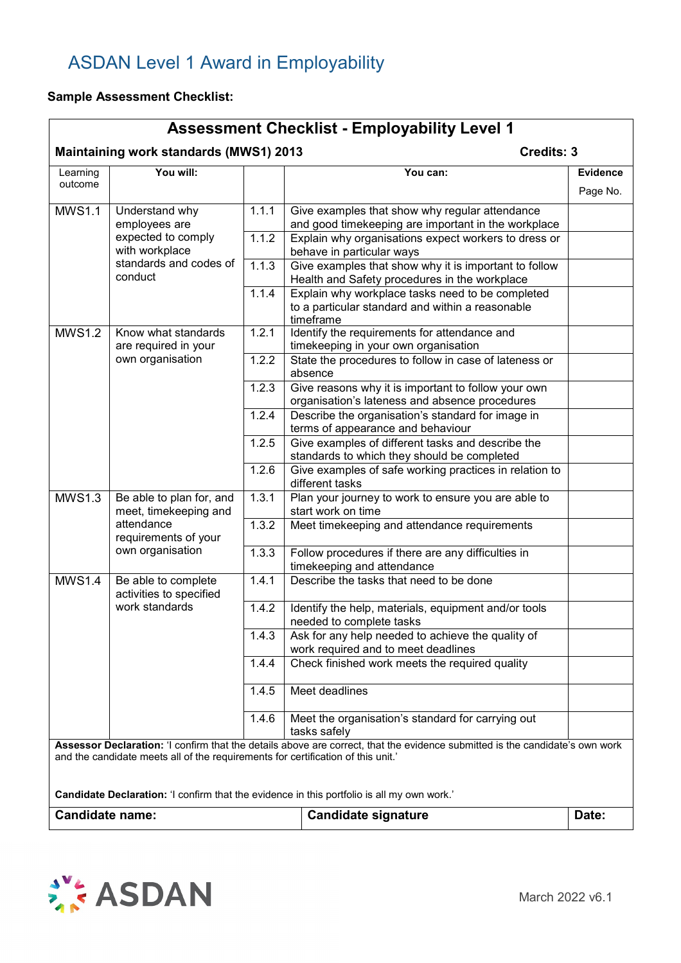#### **Sample Assessment Checklist:**

#### **Assessment Checklist - Employability Level 1 Maintaining work standards (MWS1) 2013** Credits: 3 Learning outcome **You will: You can: Evidence** Page No. MWS1.1 Understand why employees are expected to comply with workplace standards and codes of conduct 1.1.1 Give examples that show why regular attendance and good timekeeping are important in the workplace 1.1.2 Explain why organisations expect workers to dress or behave in particular ways 1.1.3 Give examples that show why it is important to follow Health and Safety procedures in the workplace 1.1.4 Explain why workplace tasks need to be completed to a particular standard and within a reasonable timeframe MWS1.2 Know what standards are required in your own organisation 1.2.1 | Identify the requirements for attendance and timekeeping in your own organisation 1.2.2 State the procedures to follow in case of lateness or absence 1.2.3 Give reasons why it is important to follow your own organisation's lateness and absence procedures 1.2.4 Describe the organisation's standard for image in terms of appearance and behaviour 1.2.5 Give examples of different tasks and describe the standards to which they should be completed 1.2.6 Give examples of safe working practices in relation to different tasks MWS1.3  $\vert$  Be able to plan for, and meet, timekeeping and attendance requirements of your own organisation 1.3.1 Plan your journey to work to ensure you are able to start work on time 1.3.2 | Meet timekeeping and attendance requirements 1.3.3 | Follow procedures if there are any difficulties in timekeeping and attendance MWS1.4 | Be able to complete activities to specified work standards 1.4.1 Describe the tasks that need to be done 1.4.2 Identify the help, materials, equipment and/or tools needed to complete tasks 1.4.3 Ask for any help needed to achieve the quality of work required and to meet deadlines 1.4.4 Check finished work meets the required quality 1.4.5 Meet deadlines 1.4.6 | Meet the organisation's standard for carrying out tasks safely **Assessor Declaration:** 'I confirm that the details above are correct, that the evidence submitted is the candidate's own work and the candidate meets all of the requirements for certification of this unit.' **Candidate Declaration:** 'I confirm that the evidence in this portfolio is all my own work.' **Candidate name: Candidate signature Date: Date:**